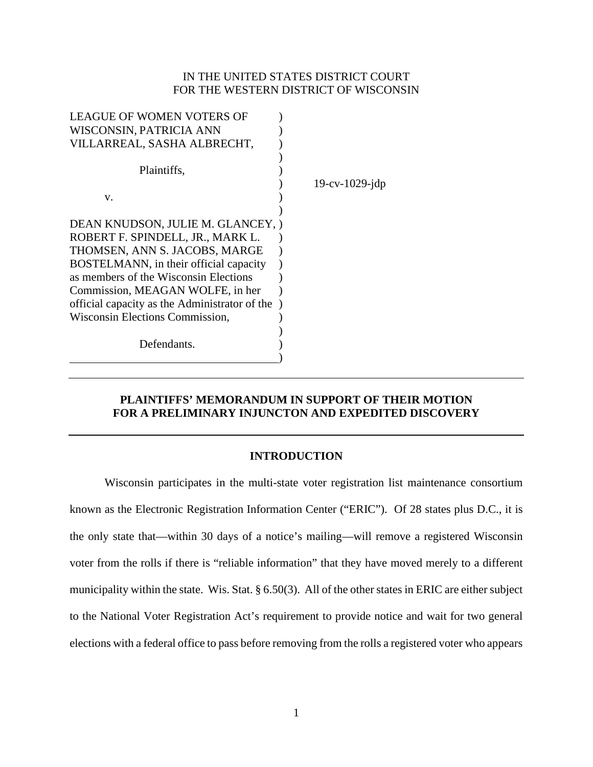## IN THE UNITED STATES DISTRICT COURT FOR THE WESTERN DISTRICT OF WISCONSIN

| <b>LEAGUE OF WOMEN VOTERS OF</b>              |                       |
|-----------------------------------------------|-----------------------|
| WISCONSIN, PATRICIA ANN                       |                       |
| VILLARREAL, SASHA ALBRECHT,                   |                       |
| Plaintiffs,                                   | $19$ -cv- $1029$ -jdp |
| V.                                            |                       |
|                                               |                       |
| DEAN KNUDSON, JULIE M. GLANCEY, )             |                       |
| ROBERT F. SPINDELL, JR., MARK L.              |                       |
| THOMSEN, ANN S. JACOBS, MARGE                 |                       |
| BOSTELMANN, in their official capacity        |                       |
| as members of the Wisconsin Elections         |                       |
| Commission, MEAGAN WOLFE, in her              |                       |
| official capacity as the Administrator of the |                       |
| Wisconsin Elections Commission,               |                       |
| Defendants.                                   |                       |

# **PLAINTIFFS' MEMORANDUM IN SUPPORT OF THEIR MOTION FOR A PRELIMINARY INJUNCTON AND EXPEDITED DISCOVERY**

## **INTRODUCTION**

Wisconsin participates in the multi-state voter registration list maintenance consortium known as the Electronic Registration Information Center ("ERIC"). Of 28 states plus D.C., it is the only state that—within 30 days of a notice's mailing—will remove a registered Wisconsin voter from the rolls if there is "reliable information" that they have moved merely to a different municipality within the state. Wis. Stat. § 6.50(3). All of the other states in ERIC are either subject to the National Voter Registration Act's requirement to provide notice and wait for two general elections with a federal office to pass before removing from the rolls a registered voter who appears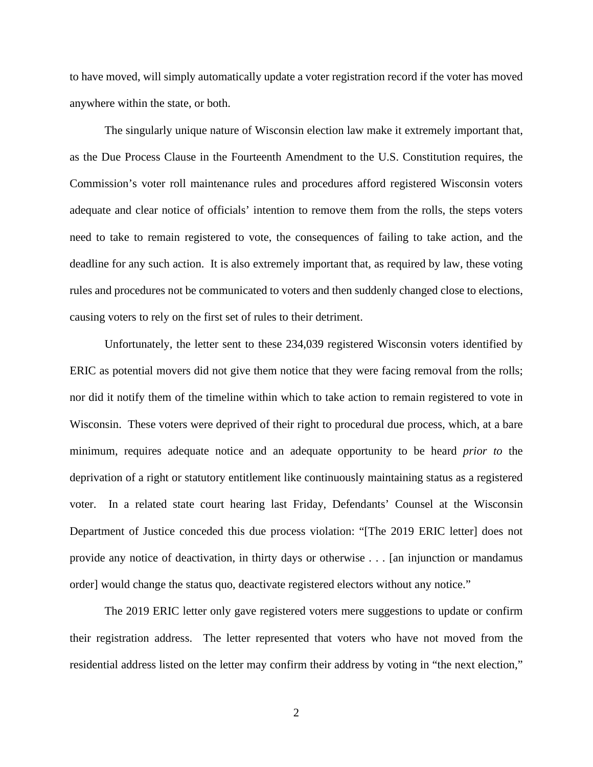to have moved, will simply automatically update a voter registration record if the voter has moved anywhere within the state, or both.

The singularly unique nature of Wisconsin election law make it extremely important that, as the Due Process Clause in the Fourteenth Amendment to the U.S. Constitution requires, the Commission's voter roll maintenance rules and procedures afford registered Wisconsin voters adequate and clear notice of officials' intention to remove them from the rolls, the steps voters need to take to remain registered to vote, the consequences of failing to take action, and the deadline for any such action. It is also extremely important that, as required by law, these voting rules and procedures not be communicated to voters and then suddenly changed close to elections, causing voters to rely on the first set of rules to their detriment.

Unfortunately, the letter sent to these 234,039 registered Wisconsin voters identified by ERIC as potential movers did not give them notice that they were facing removal from the rolls; nor did it notify them of the timeline within which to take action to remain registered to vote in Wisconsin. These voters were deprived of their right to procedural due process, which, at a bare minimum, requires adequate notice and an adequate opportunity to be heard *prior to* the deprivation of a right or statutory entitlement like continuously maintaining status as a registered voter. In a related state court hearing last Friday, Defendants' Counsel at the Wisconsin Department of Justice conceded this due process violation: "[The 2019 ERIC letter] does not provide any notice of deactivation, in thirty days or otherwise . . . [an injunction or mandamus order] would change the status quo, deactivate registered electors without any notice."

The 2019 ERIC letter only gave registered voters mere suggestions to update or confirm their registration address. The letter represented that voters who have not moved from the residential address listed on the letter may confirm their address by voting in "the next election,"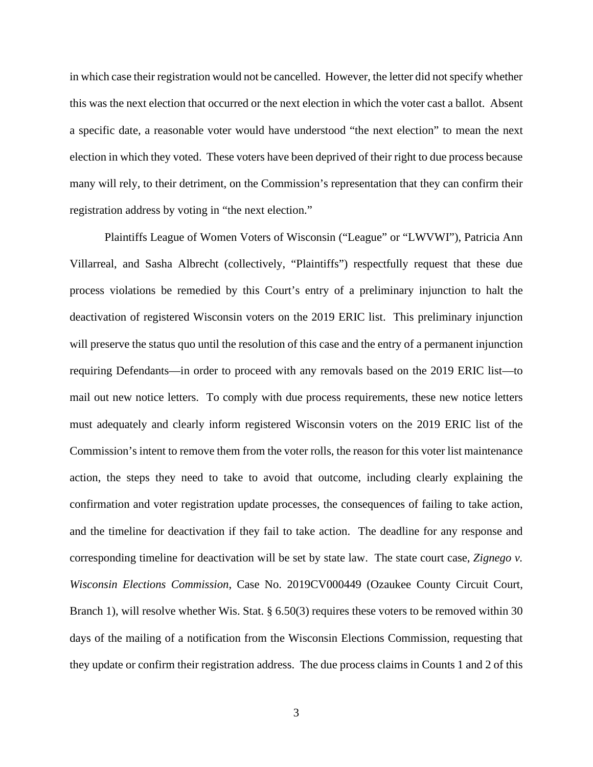in which case their registration would not be cancelled. However, the letter did not specify whether this was the next election that occurred or the next election in which the voter cast a ballot. Absent a specific date, a reasonable voter would have understood "the next election" to mean the next election in which they voted. These voters have been deprived of their right to due process because many will rely, to their detriment, on the Commission's representation that they can confirm their registration address by voting in "the next election."

Plaintiffs League of Women Voters of Wisconsin ("League" or "LWVWI"), Patricia Ann Villarreal, and Sasha Albrecht (collectively, "Plaintiffs") respectfully request that these due process violations be remedied by this Court's entry of a preliminary injunction to halt the deactivation of registered Wisconsin voters on the 2019 ERIC list. This preliminary injunction will preserve the status quo until the resolution of this case and the entry of a permanent injunction requiring Defendants—in order to proceed with any removals based on the 2019 ERIC list—to mail out new notice letters. To comply with due process requirements, these new notice letters must adequately and clearly inform registered Wisconsin voters on the 2019 ERIC list of the Commission's intent to remove them from the voter rolls, the reason for this voter list maintenance action, the steps they need to take to avoid that outcome, including clearly explaining the confirmation and voter registration update processes, the consequences of failing to take action, and the timeline for deactivation if they fail to take action. The deadline for any response and corresponding timeline for deactivation will be set by state law. The state court case, *Zignego v. Wisconsin Elections Commission*, Case No. 2019CV000449 (Ozaukee County Circuit Court, Branch 1), will resolve whether Wis. Stat. § 6.50(3) requires these voters to be removed within 30 days of the mailing of a notification from the Wisconsin Elections Commission, requesting that they update or confirm their registration address. The due process claims in Counts 1 and 2 of this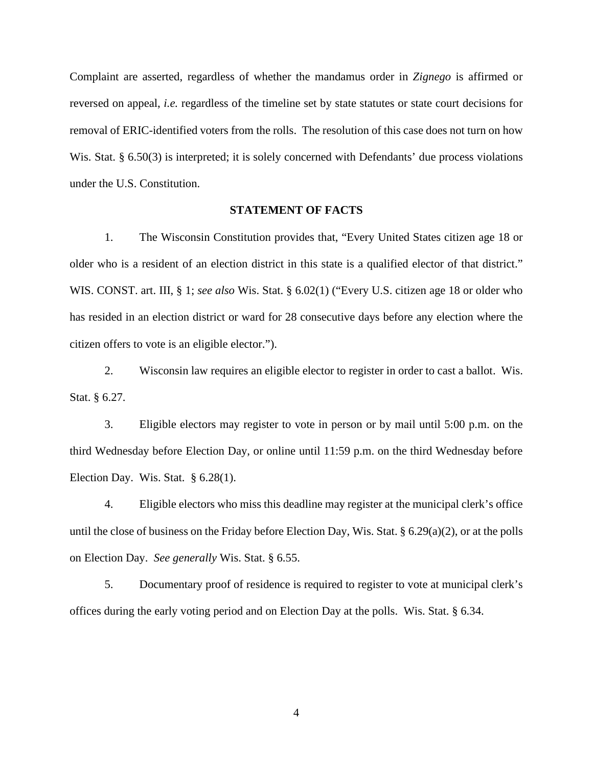Complaint are asserted, regardless of whether the mandamus order in *Zignego* is affirmed or reversed on appeal, *i.e.* regardless of the timeline set by state statutes or state court decisions for removal of ERIC-identified voters from the rolls. The resolution of this case does not turn on how Wis. Stat. § 6.50(3) is interpreted; it is solely concerned with Defendants' due process violations under the U.S. Constitution.

## **STATEMENT OF FACTS**

1. The Wisconsin Constitution provides that, "Every United States citizen age 18 or older who is a resident of an election district in this state is a qualified elector of that district." WIS. CONST. art. III, § 1; *see also* Wis. Stat. § 6.02(1) ("Every U.S. citizen age 18 or older who has resided in an election district or ward for 28 consecutive days before any election where the citizen offers to vote is an eligible elector.").

2. Wisconsin law requires an eligible elector to register in order to cast a ballot. Wis. Stat. § 6.27.

3. Eligible electors may register to vote in person or by mail until 5:00 p.m. on the third Wednesday before Election Day, or online until 11:59 p.m. on the third Wednesday before Election Day. Wis. Stat. § 6.28(1).

4. Eligible electors who miss this deadline may register at the municipal clerk's office until the close of business on the Friday before Election Day, Wis. Stat. § 6.29(a)(2), or at the polls on Election Day. *See generally* Wis. Stat. § 6.55.

5. Documentary proof of residence is required to register to vote at municipal clerk's offices during the early voting period and on Election Day at the polls. Wis. Stat. § 6.34.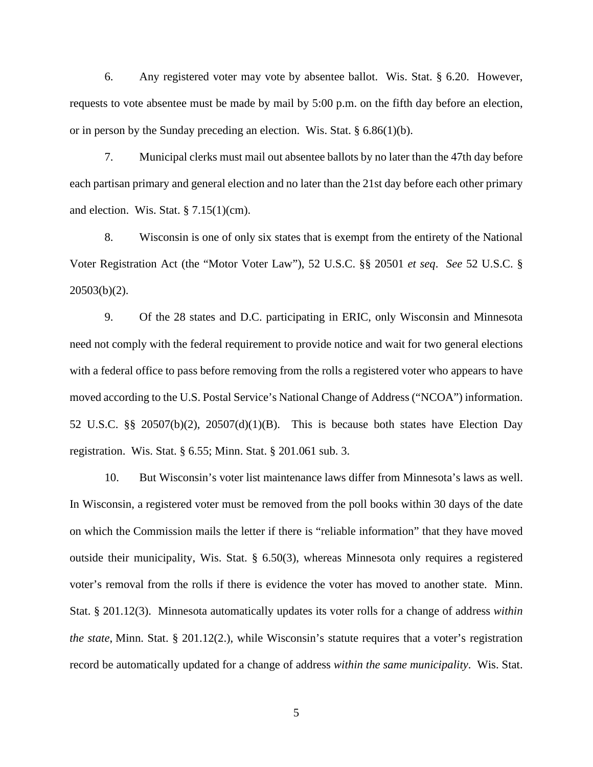6. Any registered voter may vote by absentee ballot. Wis. Stat. § 6.20. However, requests to vote absentee must be made by mail by 5:00 p.m. on the fifth day before an election, or in person by the Sunday preceding an election. Wis. Stat. § 6.86(1)(b).

7. Municipal clerks must mail out absentee ballots by no later than the 47th day before each partisan primary and general election and no later than the 21st day before each other primary and election. Wis. Stat. § 7.15(1)(cm).

8. Wisconsin is one of only six states that is exempt from the entirety of the National Voter Registration Act (the "Motor Voter Law"), 52 U.S.C. §§ 20501 *et seq*. *See* 52 U.S.C. § 20503(b)(2).

9. Of the 28 states and D.C. participating in ERIC, only Wisconsin and Minnesota need not comply with the federal requirement to provide notice and wait for two general elections with a federal office to pass before removing from the rolls a registered voter who appears to have moved according to the U.S. Postal Service's National Change of Address ("NCOA") information. 52 U.S.C. §§ 20507(b)(2), 20507(d)(1)(B). This is because both states have Election Day registration. Wis. Stat. § 6.55; Minn. Stat. § 201.061 sub. 3.

10. But Wisconsin's voter list maintenance laws differ from Minnesota's laws as well. In Wisconsin, a registered voter must be removed from the poll books within 30 days of the date on which the Commission mails the letter if there is "reliable information" that they have moved outside their municipality, Wis. Stat. § 6.50(3), whereas Minnesota only requires a registered voter's removal from the rolls if there is evidence the voter has moved to another state. Minn. Stat. § 201.12(3). Minnesota automatically updates its voter rolls for a change of address *within the state*, Minn. Stat. § 201.12(2.), while Wisconsin's statute requires that a voter's registration record be automatically updated for a change of address *within the same municipality*. Wis. Stat.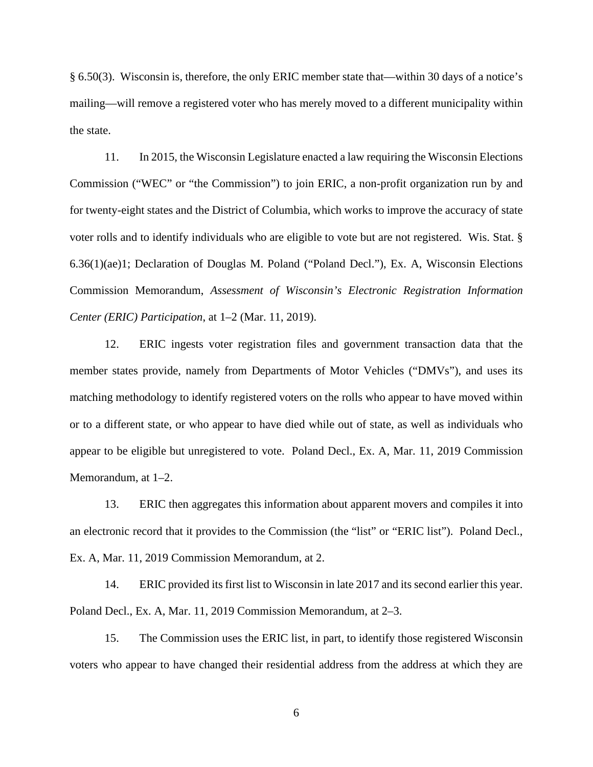§ 6.50(3). Wisconsin is, therefore, the only ERIC member state that—within 30 days of a notice's mailing—will remove a registered voter who has merely moved to a different municipality within the state.

11. In 2015, the Wisconsin Legislature enacted a law requiring the Wisconsin Elections Commission ("WEC" or "the Commission") to join ERIC, a non-profit organization run by and for twenty-eight states and the District of Columbia, which works to improve the accuracy of state voter rolls and to identify individuals who are eligible to vote but are not registered. Wis. Stat. § 6.36(1)(ae)1; Declaration of Douglas M. Poland ("Poland Decl."), Ex. A, Wisconsin Elections Commission Memorandum, *Assessment of Wisconsin's Electronic Registration Information Center (ERIC) Participation*, at 1–2 (Mar. 11, 2019).

12. ERIC ingests voter registration files and government transaction data that the member states provide, namely from Departments of Motor Vehicles ("DMVs"), and uses its matching methodology to identify registered voters on the rolls who appear to have moved within or to a different state, or who appear to have died while out of state, as well as individuals who appear to be eligible but unregistered to vote. Poland Decl., Ex. A, Mar. 11, 2019 Commission Memorandum, at 1–2.

13. ERIC then aggregates this information about apparent movers and compiles it into an electronic record that it provides to the Commission (the "list" or "ERIC list"). Poland Decl., Ex. A, Mar. 11, 2019 Commission Memorandum, at 2.

14. ERIC provided its first list to Wisconsin in late 2017 and its second earlier this year. Poland Decl., Ex. A, Mar. 11, 2019 Commission Memorandum, at 2–3.

15. The Commission uses the ERIC list, in part, to identify those registered Wisconsin voters who appear to have changed their residential address from the address at which they are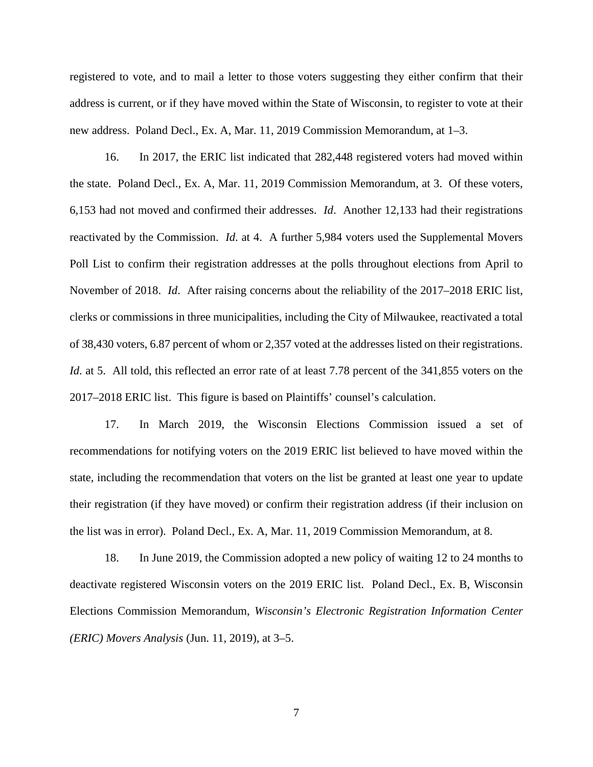registered to vote, and to mail a letter to those voters suggesting they either confirm that their address is current, or if they have moved within the State of Wisconsin, to register to vote at their new address. Poland Decl., Ex. A, Mar. 11, 2019 Commission Memorandum, at 1–3.

16. In 2017, the ERIC list indicated that 282,448 registered voters had moved within the state. Poland Decl., Ex. A, Mar. 11, 2019 Commission Memorandum, at 3. Of these voters, 6,153 had not moved and confirmed their addresses. *Id*. Another 12,133 had their registrations reactivated by the Commission. *Id*. at 4. A further 5,984 voters used the Supplemental Movers Poll List to confirm their registration addresses at the polls throughout elections from April to November of 2018. *Id*. After raising concerns about the reliability of the 2017–2018 ERIC list, clerks or commissions in three municipalities, including the City of Milwaukee, reactivated a total of 38,430 voters, 6.87 percent of whom or 2,357 voted at the addresses listed on their registrations. *Id.* at 5. All told, this reflected an error rate of at least 7.78 percent of the 341,855 voters on the 2017–2018 ERIC list. This figure is based on Plaintiffs' counsel's calculation.

17. In March 2019, the Wisconsin Elections Commission issued a set of recommendations for notifying voters on the 2019 ERIC list believed to have moved within the state, including the recommendation that voters on the list be granted at least one year to update their registration (if they have moved) or confirm their registration address (if their inclusion on the list was in error). Poland Decl., Ex. A, Mar. 11, 2019 Commission Memorandum, at 8.

18. In June 2019, the Commission adopted a new policy of waiting 12 to 24 months to deactivate registered Wisconsin voters on the 2019 ERIC list. Poland Decl., Ex. B, Wisconsin Elections Commission Memorandum, *Wisconsin's Electronic Registration Information Center (ERIC) Movers Analysis* (Jun. 11, 2019), at 3–5.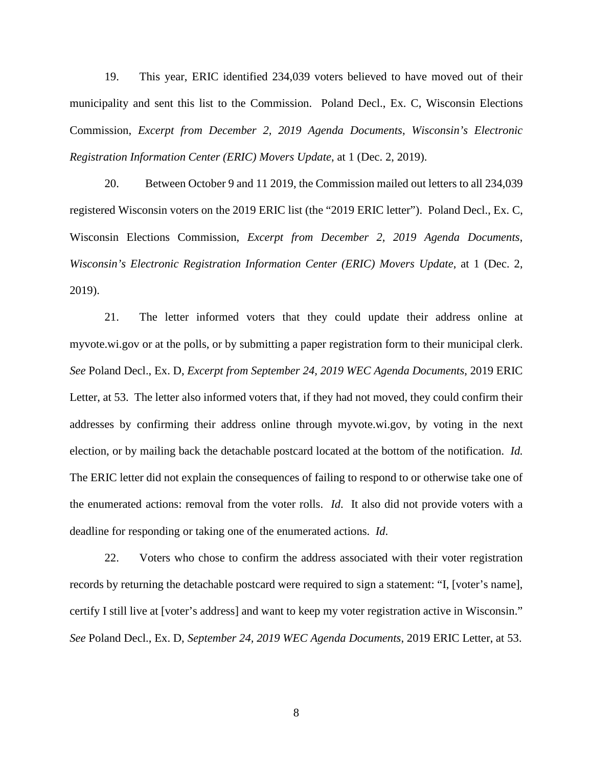19. This year, ERIC identified 234,039 voters believed to have moved out of their municipality and sent this list to the Commission. Poland Decl., Ex. C, Wisconsin Elections Commission, *Excerpt from December 2, 2019 Agenda Documents*, *Wisconsin's Electronic Registration Information Center (ERIC) Movers Update*, at 1 (Dec. 2, 2019).

20. Between October 9 and 11 2019, the Commission mailed out letters to all 234,039 registered Wisconsin voters on the 2019 ERIC list (the "2019 ERIC letter"). Poland Decl., Ex. C, Wisconsin Elections Commission, *Excerpt from December 2, 2019 Agenda Documents*, *Wisconsin's Electronic Registration Information Center (ERIC) Movers Update*, at 1 (Dec. 2, 2019).

21. The letter informed voters that they could update their address online at myvote.wi.gov or at the polls, or by submitting a paper registration form to their municipal clerk. *See* Poland Decl., Ex. D, *Excerpt from September 24, 2019 WEC Agenda Documents*, 2019 ERIC Letter, at 53. The letter also informed voters that, if they had not moved, they could confirm their addresses by confirming their address online through myvote.wi.gov, by voting in the next election, or by mailing back the detachable postcard located at the bottom of the notification. *Id.* The ERIC letter did not explain the consequences of failing to respond to or otherwise take one of the enumerated actions: removal from the voter rolls. *Id*. It also did not provide voters with a deadline for responding or taking one of the enumerated actions. *Id*.

22. Voters who chose to confirm the address associated with their voter registration records by returning the detachable postcard were required to sign a statement: "I, [voter's name], certify I still live at [voter's address] and want to keep my voter registration active in Wisconsin." *See* Poland Decl., Ex. D, *September 24, 2019 WEC Agenda Documents*, 2019 ERIC Letter, at 53.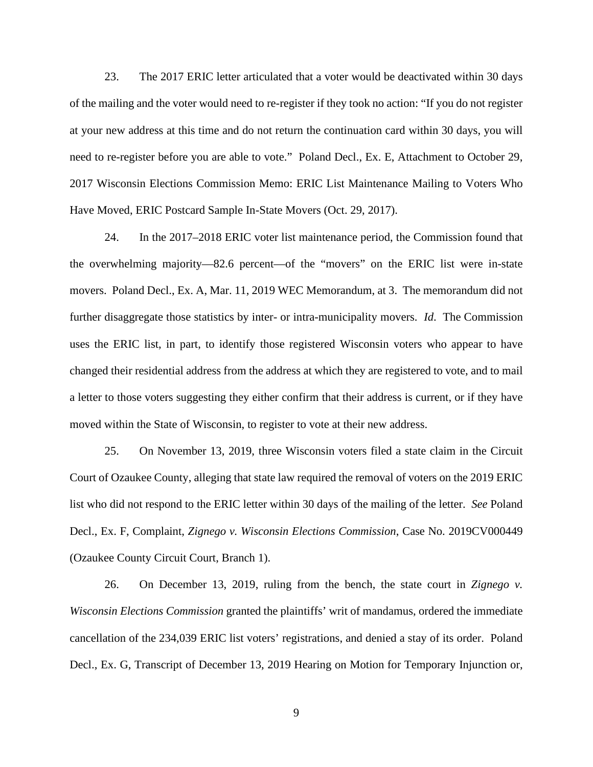23. The 2017 ERIC letter articulated that a voter would be deactivated within 30 days of the mailing and the voter would need to re-register if they took no action: "If you do not register at your new address at this time and do not return the continuation card within 30 days, you will need to re-register before you are able to vote." Poland Decl., Ex. E, Attachment to October 29, 2017 Wisconsin Elections Commission Memo: ERIC List Maintenance Mailing to Voters Who Have Moved, ERIC Postcard Sample In-State Movers (Oct. 29, 2017).

24. In the 2017–2018 ERIC voter list maintenance period, the Commission found that the overwhelming majority—82.6 percent—of the "movers" on the ERIC list were in-state movers. Poland Decl., Ex. A, Mar. 11, 2019 WEC Memorandum, at 3. The memorandum did not further disaggregate those statistics by inter- or intra-municipality movers. *Id*. The Commission uses the ERIC list, in part, to identify those registered Wisconsin voters who appear to have changed their residential address from the address at which they are registered to vote, and to mail a letter to those voters suggesting they either confirm that their address is current, or if they have moved within the State of Wisconsin, to register to vote at their new address.

25. On November 13, 2019, three Wisconsin voters filed a state claim in the Circuit Court of Ozaukee County, alleging that state law required the removal of voters on the 2019 ERIC list who did not respond to the ERIC letter within 30 days of the mailing of the letter. *See* Poland Decl., Ex. F, Complaint, *Zignego v. Wisconsin Elections Commission*, Case No. 2019CV000449 (Ozaukee County Circuit Court, Branch 1).

26. On December 13, 2019, ruling from the bench, the state court in *Zignego v. Wisconsin Elections Commission* granted the plaintiffs' writ of mandamus, ordered the immediate cancellation of the 234,039 ERIC list voters' registrations, and denied a stay of its order. Poland Decl., Ex. G, Transcript of December 13, 2019 Hearing on Motion for Temporary Injunction or,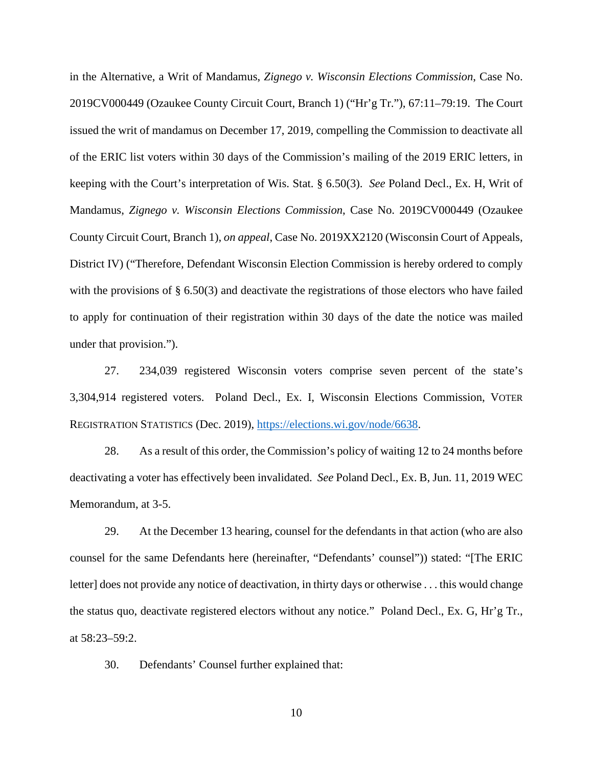in the Alternative, a Writ of Mandamus, *Zignego v. Wisconsin Elections Commission*, Case No. 2019CV000449 (Ozaukee County Circuit Court, Branch 1) ("Hr'g Tr."), 67:11–79:19. The Court issued the writ of mandamus on December 17, 2019, compelling the Commission to deactivate all of the ERIC list voters within 30 days of the Commission's mailing of the 2019 ERIC letters, in keeping with the Court's interpretation of Wis. Stat. § 6.50(3). *See* Poland Decl., Ex. H, Writ of Mandamus, *Zignego v. Wisconsin Elections Commission*, Case No. 2019CV000449 (Ozaukee County Circuit Court, Branch 1), *on appeal*, Case No. 2019XX2120 (Wisconsin Court of Appeals, District IV) ("Therefore, Defendant Wisconsin Election Commission is hereby ordered to comply with the provisions of § 6.50(3) and deactivate the registrations of those electors who have failed to apply for continuation of their registration within 30 days of the date the notice was mailed under that provision.").

27. 234,039 registered Wisconsin voters comprise seven percent of the state's 3,304,914 registered voters. Poland Decl., Ex. I, Wisconsin Elections Commission, VOTER REGISTRATION STATISTICS (Dec. 2019), [https://elections.wi.gov/node/6638.](https://elections.wi.gov/node/6638)

28. As a result of this order, the Commission's policy of waiting 12 to 24 months before deactivating a voter has effectively been invalidated. *See* Poland Decl., Ex. B, Jun. 11, 2019 WEC Memorandum, at 3-5.

29. At the December 13 hearing, counsel for the defendants in that action (who are also counsel for the same Defendants here (hereinafter, "Defendants' counsel")) stated: "[The ERIC letter] does not provide any notice of deactivation, in thirty days or otherwise . . . this would change the status quo, deactivate registered electors without any notice." Poland Decl., Ex. G, Hr'g Tr., at 58:23–59:2.

30. Defendants' Counsel further explained that: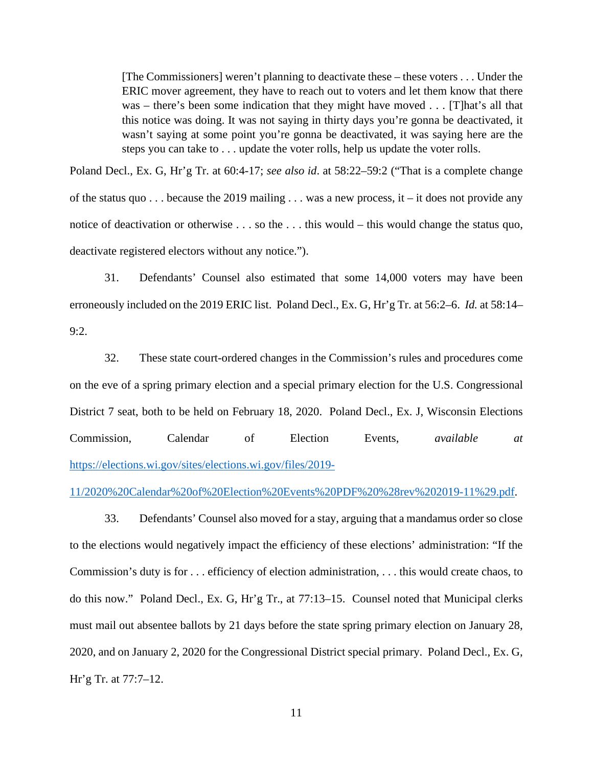[The Commissioners] weren't planning to deactivate these – these voters . . . Under the ERIC mover agreement, they have to reach out to voters and let them know that there was – there's been some indication that they might have moved . . . [T]hat's all that this notice was doing. It was not saying in thirty days you're gonna be deactivated, it wasn't saying at some point you're gonna be deactivated, it was saying here are the steps you can take to . . . update the voter rolls, help us update the voter rolls.

Poland Decl., Ex. G, Hr'g Tr. at 60:4-17; *see also id*. at 58:22–59:2 ("That is a complete change of the status quo . . . because the 2019 mailing . . . was a new process, it – it does not provide any notice of deactivation or otherwise . . . so the . . . this would – this would change the status quo, deactivate registered electors without any notice.").

31. Defendants' Counsel also estimated that some 14,000 voters may have been erroneously included on the 2019 ERIC list. Poland Decl., Ex. G, Hr'g Tr. at 56:2–6. *Id.* at 58:14– 9:2.

32. These state court-ordered changes in the Commission's rules and procedures come on the eve of a spring primary election and a special primary election for the U.S. Congressional District 7 seat, both to be held on February 18, 2020. Poland Decl., Ex. J, Wisconsin Elections Commission, Calendar of Election Events, *available at* [https://elections.wi.gov/sites/elections.wi.gov/files/2019-](https://elections.wi.gov/sites/elections.wi.gov/files/2019-11/2020%20Calendar%20of%20Election%20Events%20PDF%20%28rev%202019-11%29.pdf)

[11/2020%20Calendar%20of%20Election%20Events%20PDF%20%28rev%202019-11%29.pdf.](https://elections.wi.gov/sites/elections.wi.gov/files/2019-11/2020%20Calendar%20of%20Election%20Events%20PDF%20%28rev%202019-11%29.pdf)

33. Defendants' Counsel also moved for a stay, arguing that a mandamus order so close to the elections would negatively impact the efficiency of these elections' administration: "If the Commission's duty is for . . . efficiency of election administration, . . . this would create chaos, to do this now." Poland Decl., Ex. G, Hr'g Tr., at 77:13–15. Counsel noted that Municipal clerks must mail out absentee ballots by 21 days before the state spring primary election on January 28, 2020, and on January 2, 2020 for the Congressional District special primary. Poland Decl., Ex. G, Hr'g Tr. at 77:7–12.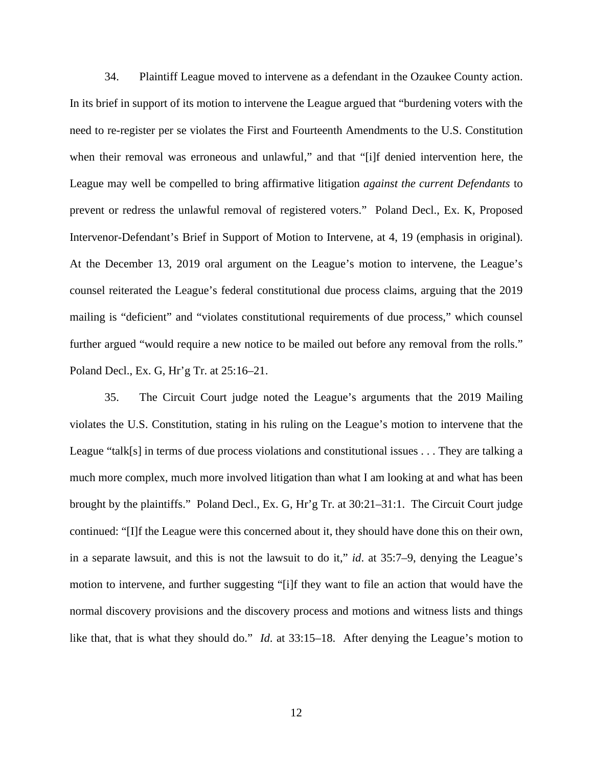34. Plaintiff League moved to intervene as a defendant in the Ozaukee County action. In its brief in support of its motion to intervene the League argued that "burdening voters with the need to re-register per se violates the First and Fourteenth Amendments to the U.S. Constitution when their removal was erroneous and unlawful," and that "[i]f denied intervention here, the League may well be compelled to bring affirmative litigation *against the current Defendants* to prevent or redress the unlawful removal of registered voters." Poland Decl., Ex. K, Proposed Intervenor-Defendant's Brief in Support of Motion to Intervene, at 4, 19 (emphasis in original). At the December 13, 2019 oral argument on the League's motion to intervene, the League's counsel reiterated the League's federal constitutional due process claims, arguing that the 2019 mailing is "deficient" and "violates constitutional requirements of due process," which counsel further argued "would require a new notice to be mailed out before any removal from the rolls." Poland Decl., Ex. G, Hr'g Tr. at 25:16–21.

35. The Circuit Court judge noted the League's arguments that the 2019 Mailing violates the U.S. Constitution, stating in his ruling on the League's motion to intervene that the League "talk[s] in terms of due process violations and constitutional issues . . . They are talking a much more complex, much more involved litigation than what I am looking at and what has been brought by the plaintiffs." Poland Decl., Ex. G, Hr'g Tr. at 30:21–31:1. The Circuit Court judge continued: "[I]f the League were this concerned about it, they should have done this on their own, in a separate lawsuit, and this is not the lawsuit to do it," *id*. at 35:7–9, denying the League's motion to intervene, and further suggesting "[i]f they want to file an action that would have the normal discovery provisions and the discovery process and motions and witness lists and things like that, that is what they should do." *Id*. at 33:15–18. After denying the League's motion to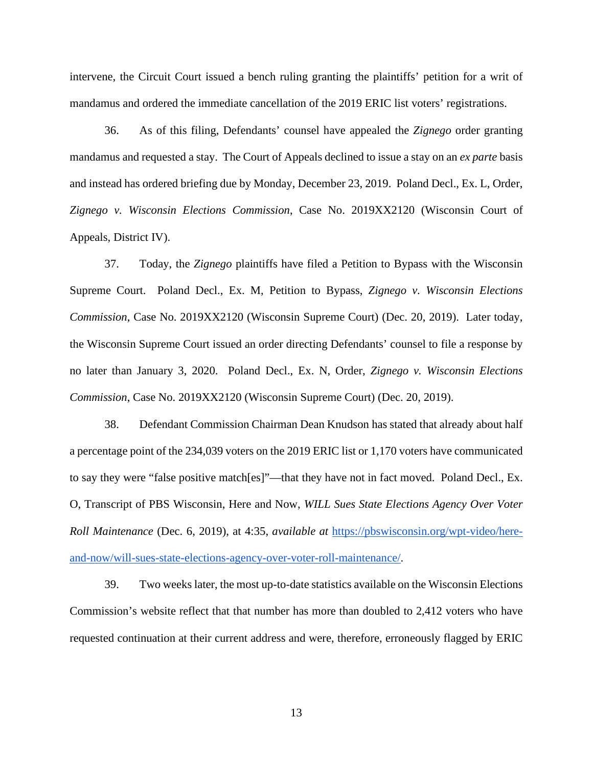intervene, the Circuit Court issued a bench ruling granting the plaintiffs' petition for a writ of mandamus and ordered the immediate cancellation of the 2019 ERIC list voters' registrations.

36. As of this filing, Defendants' counsel have appealed the *Zignego* order granting mandamus and requested a stay. The Court of Appeals declined to issue a stay on an *ex parte* basis and instead has ordered briefing due by Monday, December 23, 2019. Poland Decl., Ex. L, Order, *Zignego v. Wisconsin Elections Commission*, Case No. 2019XX2120 (Wisconsin Court of Appeals, District IV).

37. Today, the *Zignego* plaintiffs have filed a Petition to Bypass with the Wisconsin Supreme Court. Poland Decl., Ex. M, Petition to Bypass, *Zignego v. Wisconsin Elections Commission*, Case No. 2019XX2120 (Wisconsin Supreme Court) (Dec. 20, 2019). Later today, the Wisconsin Supreme Court issued an order directing Defendants' counsel to file a response by no later than January 3, 2020. Poland Decl., Ex. N, Order, *Zignego v. Wisconsin Elections Commission*, Case No. 2019XX2120 (Wisconsin Supreme Court) (Dec. 20, 2019).

38. Defendant Commission Chairman Dean Knudson has stated that already about half a percentage point of the 234,039 voters on the 2019 ERIC list or 1,170 voters have communicated to say they were "false positive match[es]"—that they have not in fact moved. Poland Decl., Ex. O, Transcript of PBS Wisconsin, Here and Now, *WILL Sues State Elections Agency Over Voter Roll Maintenance* (Dec. 6, 2019), at 4:35, *available at* [https://pbswisconsin.org/wpt-video/here](https://pbswisconsin.org/wpt-video/here-and-now/will-sues-state-elections-agency-over-voter-roll-maintenance/)[and-now/will-sues-state-elections-agency-over-voter-roll-maintenance/.](https://pbswisconsin.org/wpt-video/here-and-now/will-sues-state-elections-agency-over-voter-roll-maintenance/)

39. Two weeks later, the most up-to-date statistics available on the Wisconsin Elections Commission's website reflect that that number has more than doubled to 2,412 voters who have requested continuation at their current address and were, therefore, erroneously flagged by ERIC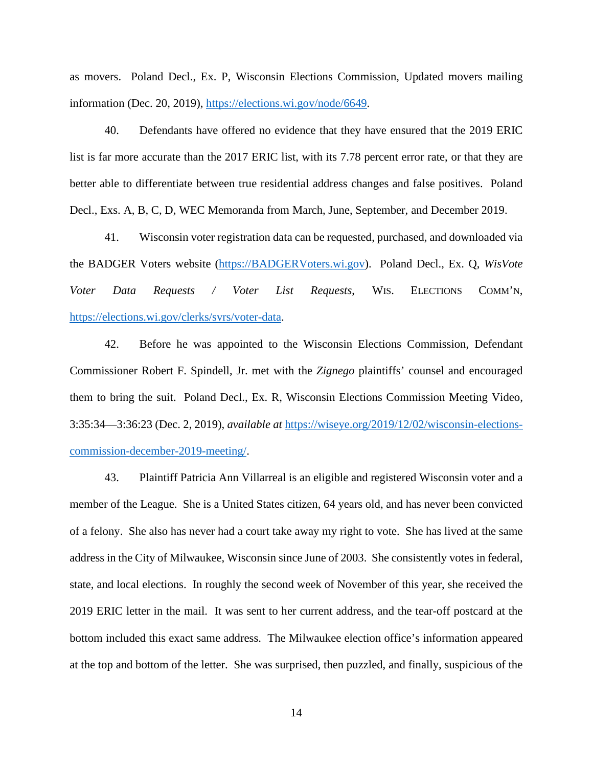as movers. Poland Decl., Ex. P, Wisconsin Elections Commission, Updated movers mailing information (Dec. 20, 2019), [https://elections.wi.gov/node/6649.](https://elections.wi.gov/node/6649)

40. Defendants have offered no evidence that they have ensured that the 2019 ERIC list is far more accurate than the 2017 ERIC list, with its 7.78 percent error rate, or that they are better able to differentiate between true residential address changes and false positives. Poland Decl., Exs. A, B, C, D, WEC Memoranda from March, June, September, and December 2019.

41. Wisconsin voter registration data can be requested, purchased, and downloaded via the BADGER Voters website [\(https://BADGERVoters.wi.gov\)](https://badgervoters.wi.gov/). Poland Decl., Ex. Q, *WisVote Voter Data Requests / Voter List Requests*, WIS. ELECTIONS COMM'N, [https://elections.wi.gov/clerks/svrs/voter-data.](https://elections.wi.gov/clerks/svrs/voter-data)

42. Before he was appointed to the Wisconsin Elections Commission, Defendant Commissioner Robert F. Spindell, Jr. met with the *Zignego* plaintiffs' counsel and encouraged them to bring the suit. Poland Decl., Ex. R, Wisconsin Elections Commission Meeting Video, 3:35:34—3:36:23 (Dec. 2, 2019), *available at* [https://wiseye.org/2019/12/02/wisconsin-elections](https://wiseye.org/2019/12/02/wisconsin-elections-commission-december-2019-meeting/)[commission-december-2019-meeting/.](https://wiseye.org/2019/12/02/wisconsin-elections-commission-december-2019-meeting/)

43. Plaintiff Patricia Ann Villarreal is an eligible and registered Wisconsin voter and a member of the League. She is a United States citizen, 64 years old, and has never been convicted of a felony. She also has never had a court take away my right to vote. She has lived at the same address in the City of Milwaukee, Wisconsin since June of 2003. She consistently votes in federal, state, and local elections. In roughly the second week of November of this year, she received the 2019 ERIC letter in the mail. It was sent to her current address, and the tear-off postcard at the bottom included this exact same address. The Milwaukee election office's information appeared at the top and bottom of the letter. She was surprised, then puzzled, and finally, suspicious of the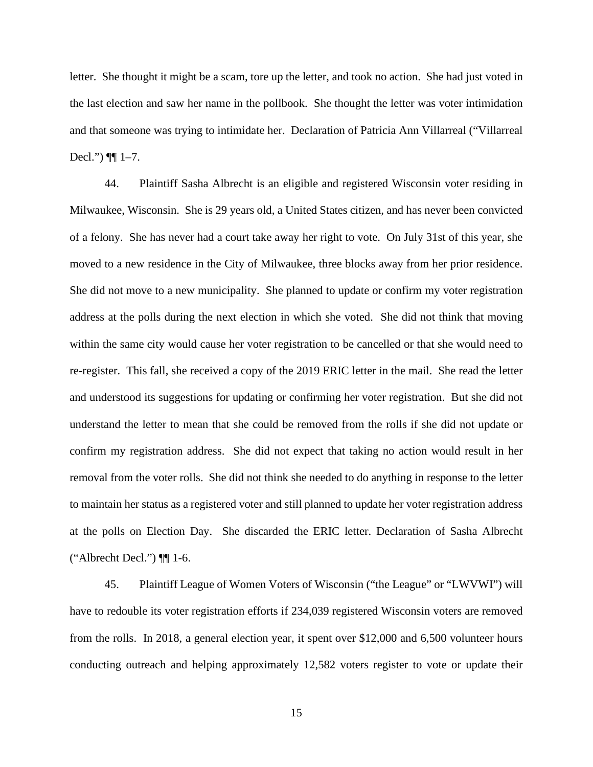letter. She thought it might be a scam, tore up the letter, and took no action. She had just voted in the last election and saw her name in the pollbook. She thought the letter was voter intimidation and that someone was trying to intimidate her. Declaration of Patricia Ann Villarreal ("Villarreal Decl.")  $\P\P$  1–7.

44. Plaintiff Sasha Albrecht is an eligible and registered Wisconsin voter residing in Milwaukee, Wisconsin. She is 29 years old, a United States citizen, and has never been convicted of a felony. She has never had a court take away her right to vote. On July 31st of this year, she moved to a new residence in the City of Milwaukee, three blocks away from her prior residence. She did not move to a new municipality. She planned to update or confirm my voter registration address at the polls during the next election in which she voted. She did not think that moving within the same city would cause her voter registration to be cancelled or that she would need to re-register. This fall, she received a copy of the 2019 ERIC letter in the mail. She read the letter and understood its suggestions for updating or confirming her voter registration. But she did not understand the letter to mean that she could be removed from the rolls if she did not update or confirm my registration address. She did not expect that taking no action would result in her removal from the voter rolls. She did not think she needed to do anything in response to the letter to maintain her status as a registered voter and still planned to update her voter registration address at the polls on Election Day. She discarded the ERIC letter. Declaration of Sasha Albrecht ("Albrecht Decl.") ¶¶ 1-6.

45. Plaintiff League of Women Voters of Wisconsin ("the League" or "LWVWI") will have to redouble its voter registration efforts if 234,039 registered Wisconsin voters are removed from the rolls. In 2018, a general election year, it spent over \$12,000 and 6,500 volunteer hours conducting outreach and helping approximately 12,582 voters register to vote or update their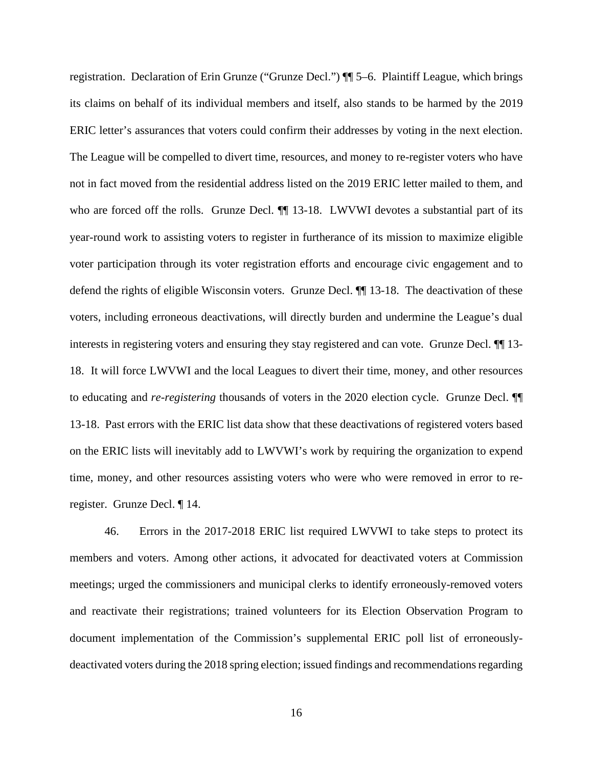registration. Declaration of Erin Grunze ("Grunze Decl.") ¶¶ 5–6. Plaintiff League, which brings its claims on behalf of its individual members and itself, also stands to be harmed by the 2019 ERIC letter's assurances that voters could confirm their addresses by voting in the next election. The League will be compelled to divert time, resources, and money to re-register voters who have not in fact moved from the residential address listed on the 2019 ERIC letter mailed to them, and who are forced off the rolls. Grunze Decl.  $\P$  13-18. LWVWI devotes a substantial part of its year-round work to assisting voters to register in furtherance of its mission to maximize eligible voter participation through its voter registration efforts and encourage civic engagement and to defend the rights of eligible Wisconsin voters. Grunze Decl. ¶¶ 13-18. The deactivation of these voters, including erroneous deactivations, will directly burden and undermine the League's dual interests in registering voters and ensuring they stay registered and can vote. Grunze Decl.  $\P$  13-18. It will force LWVWI and the local Leagues to divert their time, money, and other resources to educating and *re-registering* thousands of voters in the 2020 election cycle. Grunze Decl. ¶¶ 13-18. Past errors with the ERIC list data show that these deactivations of registered voters based on the ERIC lists will inevitably add to LWVWI's work by requiring the organization to expend time, money, and other resources assisting voters who were who were removed in error to reregister. Grunze Decl. ¶ 14.

46. Errors in the 2017-2018 ERIC list required LWVWI to take steps to protect its members and voters. Among other actions, it advocated for deactivated voters at Commission meetings; urged the commissioners and municipal clerks to identify erroneously-removed voters and reactivate their registrations; trained volunteers for its Election Observation Program to document implementation of the Commission's supplemental ERIC poll list of erroneouslydeactivated voters during the 2018 spring election; issued findings and recommendations regarding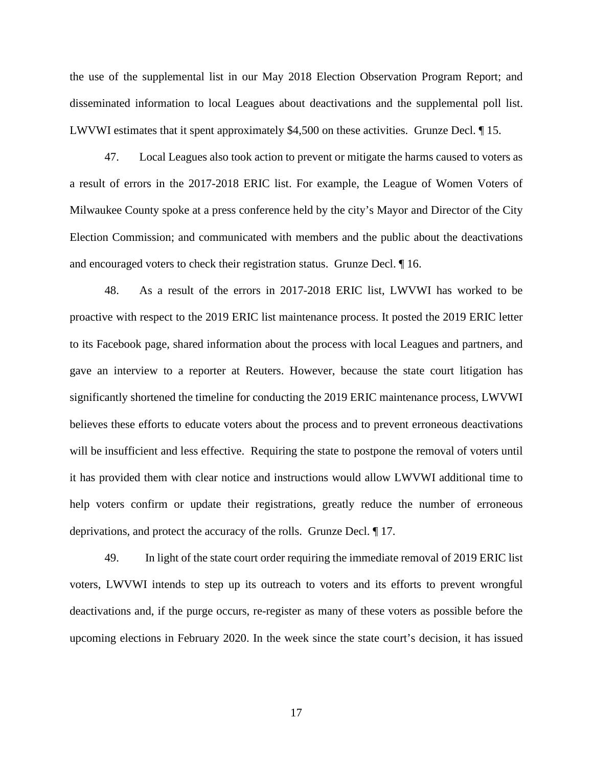the use of the supplemental list in our May 2018 Election Observation Program Report; and disseminated information to local Leagues about deactivations and the supplemental poll list. LWVWI estimates that it spent approximately \$4,500 on these activities. Grunze Decl. ¶ 15.

47. Local Leagues also took action to prevent or mitigate the harms caused to voters as a result of errors in the 2017-2018 ERIC list. For example, the League of Women Voters of Milwaukee County spoke at a press conference held by the city's Mayor and Director of the City Election Commission; and communicated with members and the public about the deactivations and encouraged voters to check their registration status. Grunze Decl. ¶ 16.

48. As a result of the errors in 2017-2018 ERIC list, LWVWI has worked to be proactive with respect to the 2019 ERIC list maintenance process. It posted the 2019 ERIC letter to its Facebook page, shared information about the process with local Leagues and partners, and gave an interview to a reporter at Reuters. However, because the state court litigation has significantly shortened the timeline for conducting the 2019 ERIC maintenance process, LWVWI believes these efforts to educate voters about the process and to prevent erroneous deactivations will be insufficient and less effective. Requiring the state to postpone the removal of voters until it has provided them with clear notice and instructions would allow LWVWI additional time to help voters confirm or update their registrations, greatly reduce the number of erroneous deprivations, and protect the accuracy of the rolls. Grunze Decl. ¶ 17.

49. In light of the state court order requiring the immediate removal of 2019 ERIC list voters, LWVWI intends to step up its outreach to voters and its efforts to prevent wrongful deactivations and, if the purge occurs, re-register as many of these voters as possible before the upcoming elections in February 2020. In the week since the state court's decision, it has issued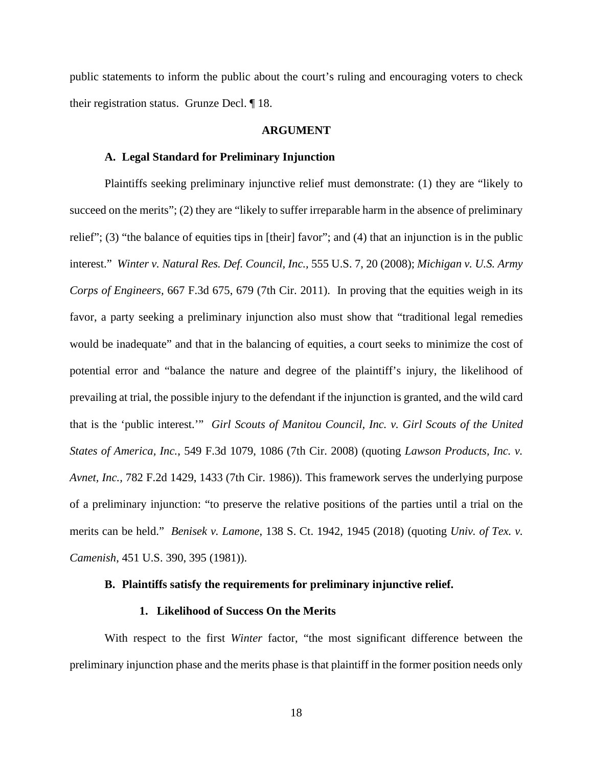public statements to inform the public about the court's ruling and encouraging voters to check their registration status. Grunze Decl. ¶ 18.

#### **ARGUMENT**

### **A. Legal Standard for Preliminary Injunction**

Plaintiffs seeking preliminary injunctive relief must demonstrate: (1) they are "likely to succeed on the merits"; (2) they are "likely to suffer irreparable harm in the absence of preliminary relief"; (3) "the balance of equities tips in [their] favor"; and (4) that an injunction is in the public interest." *Winter v. Natural Res. Def. Council, Inc.,* 555 U.S. 7, 20 (2008); *Michigan v. U.S. Army Corps of Engineers,* 667 F.3d 675, 679 (7th Cir. 2011). In proving that the equities weigh in its favor, a party seeking a preliminary injunction also must show that "traditional legal remedies would be inadequate" and that in the balancing of equities, a court seeks to minimize the cost of potential error and "balance the nature and degree of the plaintiff's injury, the likelihood of prevailing at trial, the possible injury to the defendant if the injunction is granted, and the wild card that is the 'public interest.'" *Girl Scouts of Manitou Council, Inc. v. Girl Scouts of the United States of America, Inc.*, 549 F.3d 1079, 1086 (7th Cir. 2008) (quoting *Lawson Products, Inc. v. Avnet, Inc.,* 782 F.2d 1429, 1433 (7th Cir. 1986)). This framework serves the underlying purpose of a preliminary injunction: "to preserve the relative positions of the parties until a trial on the merits can be held." *Benisek v. Lamone*, 138 S. Ct. 1942, 1945 (2018) (quoting *Univ. of Tex. v. Camenish*, 451 U.S. 390, 395 (1981)).

### **B. Plaintiffs satisfy the requirements for preliminary injunctive relief.**

## **1. Likelihood of Success On the Merits**

With respect to the first *Winter* factor, "the most significant difference between the preliminary injunction phase and the merits phase is that plaintiff in the former position needs only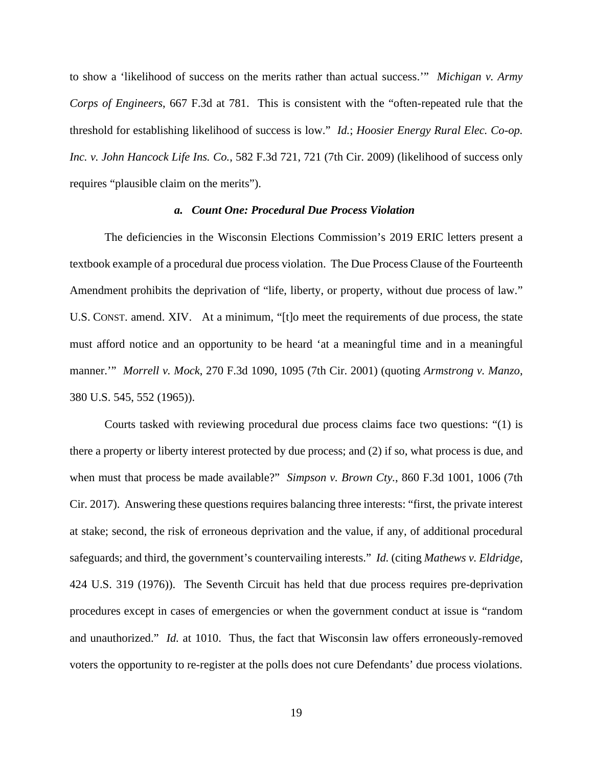to show a 'likelihood of success on the merits rather than actual success.'" *Michigan v. Army Corps of Engineers*, 667 F.3d at 781. This is consistent with the "often-repeated rule that the threshold for establishing likelihood of success is low." *Id.*; *Hoosier Energy Rural Elec. Co-op. Inc. v. John Hancock Life Ins. Co.*, 582 F.3d 721, 721 (7th Cir. 2009) (likelihood of success only requires "plausible claim on the merits").

#### *a. Count One: Procedural Due Process Violation*

The deficiencies in the Wisconsin Elections Commission's 2019 ERIC letters present a textbook example of a procedural due process violation. The Due Process Clause of the Fourteenth Amendment prohibits the deprivation of "life, liberty, or property, without due process of law." U.S. CONST. amend. XIV. At a minimum, "[t]o meet the requirements of due process, the state must afford notice and an opportunity to be heard 'at a meaningful time and in a meaningful manner.'" *Morrell v. Mock*, 270 F.3d 1090, 1095 (7th Cir. 2001) (quoting *Armstrong v. Manzo*, 380 U.S. 545, 552 (1965)).

Courts tasked with reviewing procedural due process claims face two questions: "(1) is there a property or liberty interest protected by due process; and (2) if so, what process is due, and when must that process be made available?" *Simpson v. Brown Cty.*, 860 F.3d 1001, 1006 (7th Cir. 2017). Answering these questions requires balancing three interests: "first, the private interest at stake; second, the risk of erroneous deprivation and the value, if any, of additional procedural safeguards; and third, the government's countervailing interests." *Id.* (citing *Mathews v. Eldridge*, 424 U.S. 319 (1976)). The Seventh Circuit has held that due process requires pre-deprivation procedures except in cases of emergencies or when the government conduct at issue is "random and unauthorized." *Id.* at 1010. Thus, the fact that Wisconsin law offers erroneously-removed voters the opportunity to re-register at the polls does not cure Defendants' due process violations.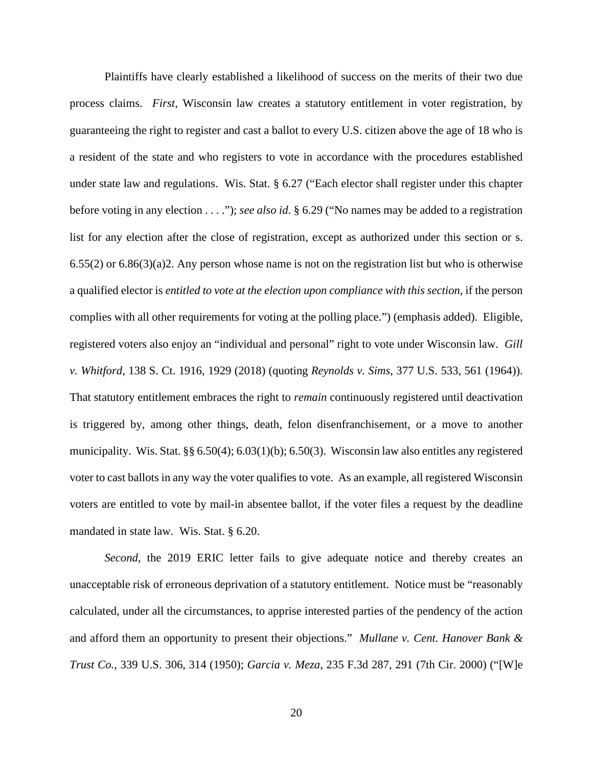Plaintiffs have clearly established a likelihood of success on the merits of their two due process claims. *First*, Wisconsin law creates a statutory entitlement in voter registration, by guaranteeing the right to register and cast a ballot to every U.S. citizen above the age of 18 who is a resident of the state and who registers to vote in accordance with the procedures established under state law and regulations. Wis. Stat. § 6.27 ("Each elector shall register under this chapter before voting in any election . . . ."); *see also id*. § 6.29 ("No names may be added to a registration list for any election after the close of registration, except as authorized under this section or s.  $6.55(2)$  or  $6.86(3)(a)$ ?. Any person whose name is not on the registration list but who is otherwise a qualified elector is *entitled to vote at the election upon compliance with this section*, if the person complies with all other requirements for voting at the polling place.") (emphasis added). Eligible, registered voters also enjoy an "individual and personal" right to vote under Wisconsin law. *Gill v. Whitford*, 138 S. Ct. 1916, 1929 (2018) (quoting *Reynolds v. Sims*, 377 U.S. 533, 561 (1964)). That statutory entitlement embraces the right to *remain* continuously registered until deactivation is triggered by, among other things, death, felon disenfranchisement, or a move to another municipality. Wis. Stat. §§ 6.50(4); 6.03(1)(b); 6.50(3). Wisconsin law also entitles any registered voter to cast ballots in any way the voter qualifies to vote. As an example, all registered Wisconsin voters are entitled to vote by mail-in absentee ballot, if the voter files a request by the deadline mandated in state law. Wis. Stat. § 6.20.

*Second*, the 2019 ERIC letter fails to give adequate notice and thereby creates an unacceptable risk of erroneous deprivation of a statutory entitlement. Notice must be "reasonably calculated, under all the circumstances, to apprise interested parties of the pendency of the action and afford them an opportunity to present their objections." *Mullane v. Cent. Hanover Bank & Trust Co.*, 339 U.S. 306, 314 (1950); *Garcia v. Meza*, 235 F.3d 287, 291 (7th Cir. 2000) ("[W]e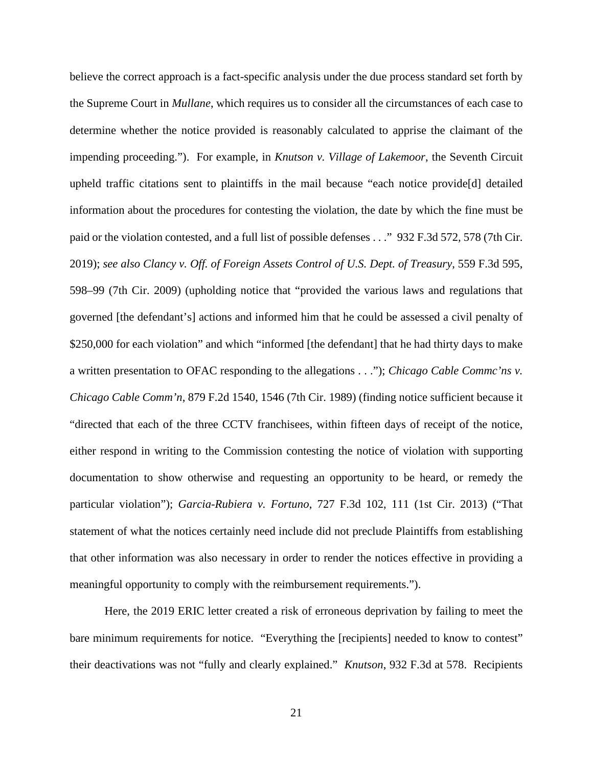believe the correct approach is a fact-specific analysis under the due process standard set forth by the Supreme Court in *Mullane*, which requires us to consider all the circumstances of each case to determine whether the notice provided is reasonably calculated to apprise the claimant of the impending proceeding."). For example, in *Knutson v. Village of Lakemoor*, the Seventh Circuit upheld traffic citations sent to plaintiffs in the mail because "each notice provide[d] detailed information about the procedures for contesting the violation, the date by which the fine must be paid or the violation contested, and a full list of possible defenses . . ." 932 F.3d 572*,* 578 (7th Cir. 2019); *see also Clancy v. Off. of Foreign Assets Control of U.S. Dept. of Treasury*, 559 F.3d 595, 598–99 (7th Cir. 2009) (upholding notice that "provided the various laws and regulations that governed [the defendant's] actions and informed him that he could be assessed a civil penalty of \$250,000 for each violation" and which "informed [the defendant] that he had thirty days to make a written presentation to OFAC responding to the allegations . . ."); *Chicago Cable Commc'ns v. Chicago Cable Comm'n*, 879 F.2d 1540, 1546 (7th Cir. 1989) (finding notice sufficient because it "directed that each of the three CCTV franchisees, within fifteen days of receipt of the notice, either respond in writing to the Commission contesting the notice of violation with supporting documentation to show otherwise and requesting an opportunity to be heard, or remedy the particular violation"); *Garcia-Rubiera v. Fortuno*, 727 F.3d 102, 111 (1st Cir. 2013) ("That statement of what the notices certainly need include did not preclude Plaintiffs from establishing that other information was also necessary in order to render the notices effective in providing a meaningful opportunity to comply with the reimbursement requirements.").

Here, the 2019 ERIC letter created a risk of erroneous deprivation by failing to meet the bare minimum requirements for notice. "Everything the [recipients] needed to know to contest" their deactivations was not "fully and clearly explained." *Knutson*, 932 F.3d at 578. Recipients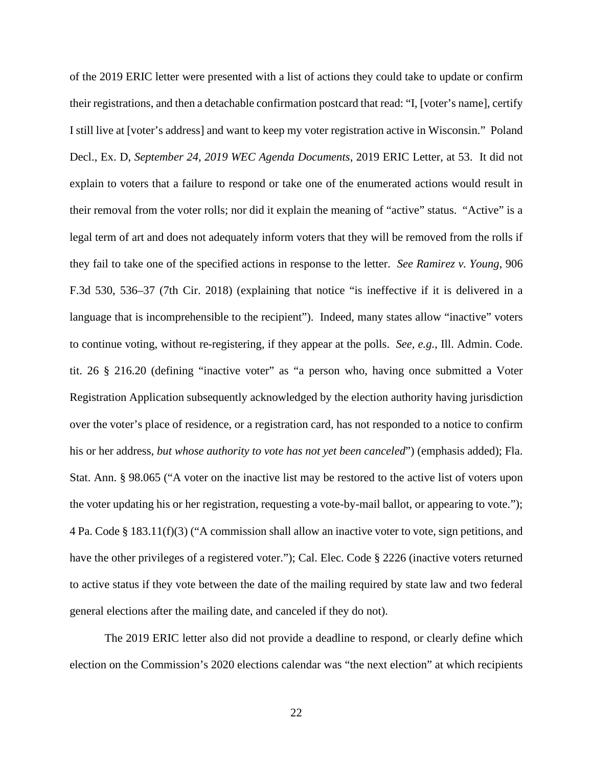of the 2019 ERIC letter were presented with a list of actions they could take to update or confirm their registrations, and then a detachable confirmation postcard that read: "I, [voter's name], certify I still live at [voter's address] and want to keep my voter registration active in Wisconsin." Poland Decl., Ex. D, *September 24, 2019 WEC Agenda Documents*, 2019 ERIC Letter, at 53. It did not explain to voters that a failure to respond or take one of the enumerated actions would result in their removal from the voter rolls; nor did it explain the meaning of "active" status. "Active" is a legal term of art and does not adequately inform voters that they will be removed from the rolls if they fail to take one of the specified actions in response to the letter. *See Ramirez v. Young*, 906 F.3d 530, 536–37 (7th Cir. 2018) (explaining that notice "is ineffective if it is delivered in a language that is incomprehensible to the recipient"). Indeed, many states allow "inactive" voters to continue voting, without re-registering, if they appear at the polls. *See, e.g.*, Ill. Admin. Code. tit. 26 § 216.20 (defining "inactive voter" as "a person who, having once submitted a Voter Registration Application subsequently acknowledged by the election authority having jurisdiction over the voter's place of residence, or a registration card, has not responded to a notice to confirm his or her address, *but whose authority to vote has not yet been canceled*") (emphasis added); Fla. Stat. Ann. § 98.065 ("A voter on the inactive list may be restored to the active list of voters upon the voter updating his or her registration, requesting a vote-by-mail ballot, or appearing to vote."); 4 Pa. Code § 183.11(f)(3) ("A commission shall allow an inactive voter to vote, sign petitions, and have the other privileges of a registered voter."); Cal. Elec. Code § 2226 (inactive voters returned to active status if they vote between the date of the mailing required by state law and two federal general elections after the mailing date, and canceled if they do not).

The 2019 ERIC letter also did not provide a deadline to respond, or clearly define which election on the Commission's 2020 elections calendar was "the next election" at which recipients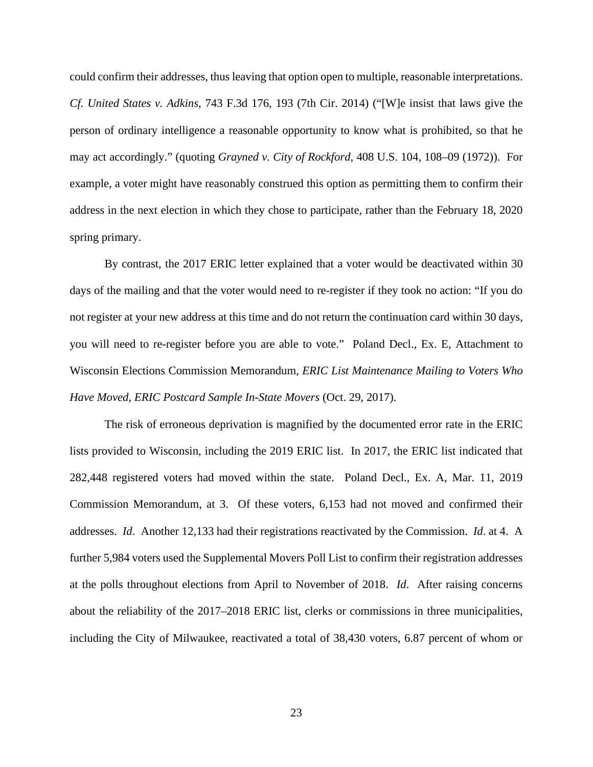could confirm their addresses, thus leaving that option open to multiple, reasonable interpretations. *Cf. United States v. Adkins*, 743 F.3d 176, 193 (7th Cir. 2014) ("[W]e insist that laws give the person of ordinary intelligence a reasonable opportunity to know what is prohibited, so that he may act accordingly." (quoting *Grayned v. City of Rockford*, 408 U.S. 104, 108–09 (1972)). For example, a voter might have reasonably construed this option as permitting them to confirm their address in the next election in which they chose to participate, rather than the February 18, 2020 spring primary.

By contrast, the 2017 ERIC letter explained that a voter would be deactivated within 30 days of the mailing and that the voter would need to re-register if they took no action: "If you do not register at your new address at this time and do not return the continuation card within 30 days, you will need to re-register before you are able to vote." Poland Decl., Ex. E, Attachment to Wisconsin Elections Commission Memorandum, *ERIC List Maintenance Mailing to Voters Who Have Moved, ERIC Postcard Sample In-State Movers* (Oct. 29, 2017).

The risk of erroneous deprivation is magnified by the documented error rate in the ERIC lists provided to Wisconsin, including the 2019 ERIC list. In 2017, the ERIC list indicated that 282,448 registered voters had moved within the state. Poland Decl., Ex. A, Mar. 11, 2019 Commission Memorandum, at 3. Of these voters, 6,153 had not moved and confirmed their addresses. *Id*. Another 12,133 had their registrations reactivated by the Commission. *Id*. at 4. A further 5,984 voters used the Supplemental Movers Poll List to confirm their registration addresses at the polls throughout elections from April to November of 2018. *Id*. After raising concerns about the reliability of the 2017–2018 ERIC list, clerks or commissions in three municipalities, including the City of Milwaukee, reactivated a total of 38,430 voters, 6.87 percent of whom or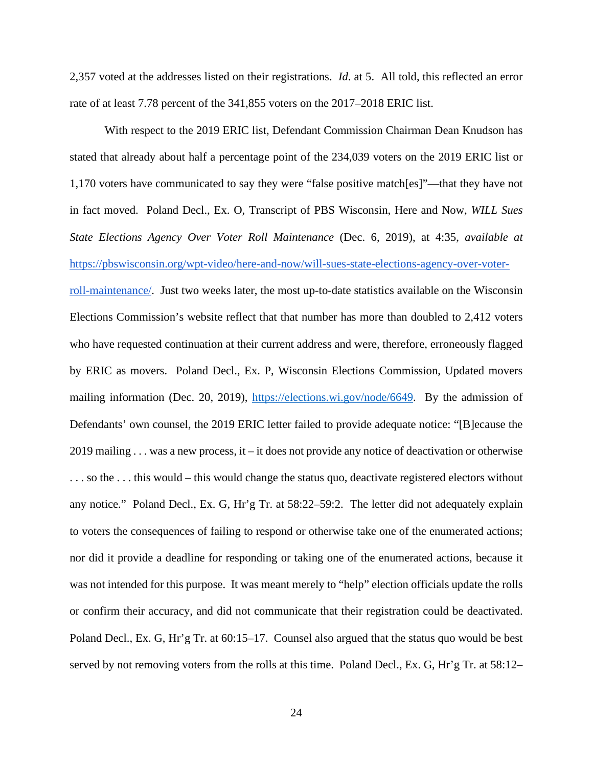2,357 voted at the addresses listed on their registrations. *Id*. at 5. All told, this reflected an error rate of at least 7.78 percent of the 341,855 voters on the 2017–2018 ERIC list.

With respect to the 2019 ERIC list, Defendant Commission Chairman Dean Knudson has stated that already about half a percentage point of the 234,039 voters on the 2019 ERIC list or 1,170 voters have communicated to say they were "false positive match[es]"—that they have not in fact moved. Poland Decl., Ex. O, Transcript of PBS Wisconsin, Here and Now, *WILL Sues State Elections Agency Over Voter Roll Maintenance* (Dec. 6, 2019), at 4:35, *available at* [https://pbswisconsin.org/wpt-video/here-and-now/will-sues-state-elections-agency-over-voter](https://pbswisconsin.org/wpt-video/here-and-now/will-sues-state-elections-agency-over-voter-roll-maintenance/)[roll-maintenance/.](https://pbswisconsin.org/wpt-video/here-and-now/will-sues-state-elections-agency-over-voter-roll-maintenance/) Just two weeks later, the most up-to-date statistics available on the Wisconsin Elections Commission's website reflect that that number has more than doubled to 2,412 voters who have requested continuation at their current address and were, therefore, erroneously flagged by ERIC as movers. Poland Decl., Ex. P, Wisconsin Elections Commission, Updated movers mailing information (Dec. 20, 2019), [https://elections.wi.gov/node/6649.](https://elections.wi.gov/node/6649) By the admission of Defendants' own counsel, the 2019 ERIC letter failed to provide adequate notice: "[B]ecause the 2019 mailing . . . was a new process, it – it does not provide any notice of deactivation or otherwise . . . so the . . . this would – this would change the status quo, deactivate registered electors without any notice." Poland Decl., Ex. G, Hr'g Tr. at 58:22–59:2. The letter did not adequately explain to voters the consequences of failing to respond or otherwise take one of the enumerated actions; nor did it provide a deadline for responding or taking one of the enumerated actions, because it was not intended for this purpose. It was meant merely to "help" election officials update the rolls or confirm their accuracy, and did not communicate that their registration could be deactivated. Poland Decl., Ex. G, Hr'g Tr. at 60:15–17. Counsel also argued that the status quo would be best served by not removing voters from the rolls at this time.Poland Decl., Ex. G, Hr'g Tr. at 58:12–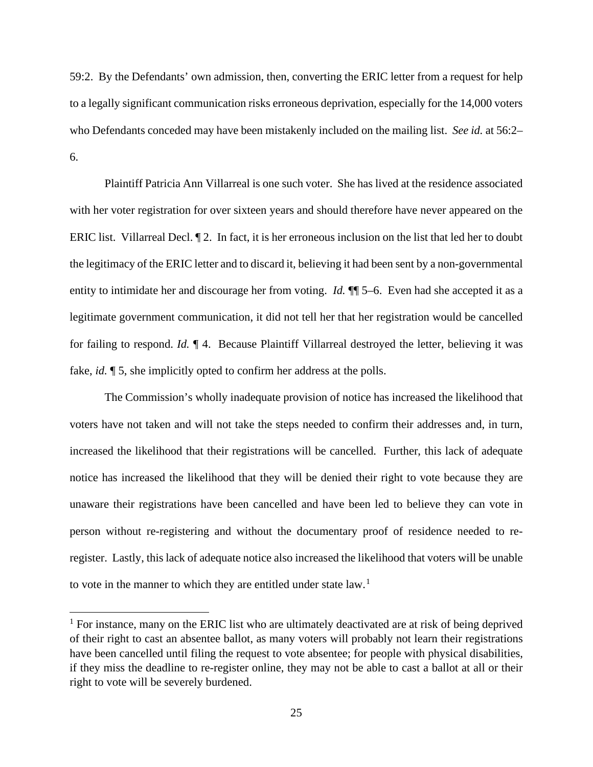59:2. By the Defendants' own admission, then, converting the ERIC letter from a request for help to a legally significant communication risks erroneous deprivation, especially for the 14,000 voters who Defendants conceded may have been mistakenly included on the mailing list. *See id.* at 56:2– 6.

Plaintiff Patricia Ann Villarreal is one such voter. She has lived at the residence associated with her voter registration for over sixteen years and should therefore have never appeared on the ERIC list. Villarreal Decl. ¶ 2. In fact, it is her erroneous inclusion on the list that led her to doubt the legitimacy of the ERIC letter and to discard it, believing it had been sent by a non-governmental entity to intimidate her and discourage her from voting. *Id.*  $\P$  5–6. Even had she accepted it as a legitimate government communication, it did not tell her that her registration would be cancelled for failing to respond. *Id.* ¶ 4. Because Plaintiff Villarreal destroyed the letter, believing it was fake, *id.*  $\llbracket 5$ , she implicitly opted to confirm her address at the polls.

The Commission's wholly inadequate provision of notice has increased the likelihood that voters have not taken and will not take the steps needed to confirm their addresses and, in turn, increased the likelihood that their registrations will be cancelled. Further, this lack of adequate notice has increased the likelihood that they will be denied their right to vote because they are unaware their registrations have been cancelled and have been led to believe they can vote in person without re-registering and without the documentary proof of residence needed to reregister. Lastly, this lack of adequate notice also increased the likelihood that voters will be unable to vote in the manner to which they are entitled under state law.<sup>[1](#page-24-0)</sup>

<span id="page-24-0"></span> $1$  For instance, many on the ERIC list who are ultimately deactivated are at risk of being deprived of their right to cast an absentee ballot, as many voters will probably not learn their registrations have been cancelled until filing the request to vote absentee; for people with physical disabilities, if they miss the deadline to re-register online, they may not be able to cast a ballot at all or their right to vote will be severely burdened.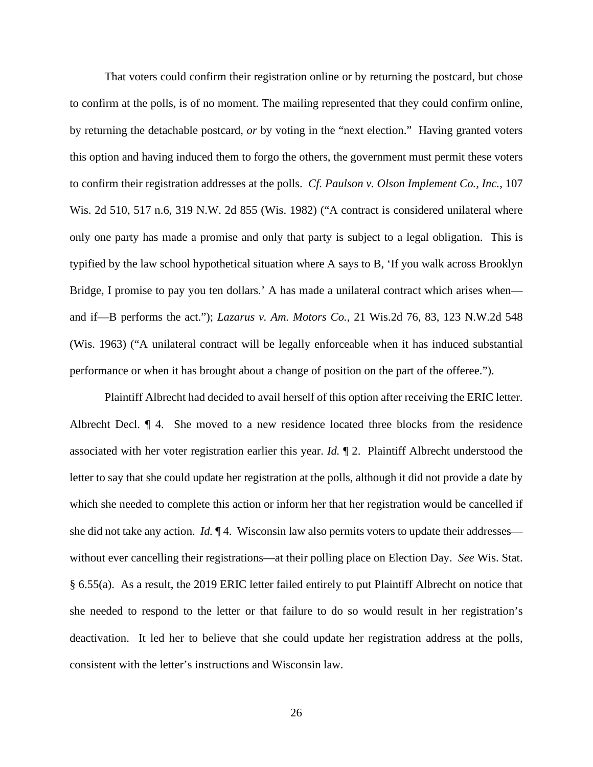That voters could confirm their registration online or by returning the postcard, but chose to confirm at the polls, is of no moment. The mailing represented that they could confirm online, by returning the detachable postcard, *or* by voting in the "next election." Having granted voters this option and having induced them to forgo the others, the government must permit these voters to confirm their registration addresses at the polls. *Cf. Paulson v. Olson Implement Co., Inc.*, 107 Wis. 2d 510, 517 n.6, 319 N.W. 2d 855 (Wis. 1982) ("A contract is considered unilateral where only one party has made a promise and only that party is subject to a legal obligation. This is typified by the law school hypothetical situation where A says to B, 'If you walk across Brooklyn Bridge, I promise to pay you ten dollars.' A has made a unilateral contract which arises when and if—B performs the act."); *Lazarus v. Am. Motors Co.*, 21 Wis.2d 76, 83, 123 N.W.2d 548 (Wis. 1963) ("A unilateral contract will be legally enforceable when it has induced substantial performance or when it has brought about a change of position on the part of the offeree.").

Plaintiff Albrecht had decided to avail herself of this option after receiving the ERIC letter. Albrecht Decl. ¶ 4. She moved to a new residence located three blocks from the residence associated with her voter registration earlier this year. *Id.* ¶ 2. Plaintiff Albrecht understood the letter to say that she could update her registration at the polls, although it did not provide a date by which she needed to complete this action or inform her that her registration would be cancelled if she did not take any action. *Id.* ¶ 4. Wisconsin law also permits voters to update their addresses without ever cancelling their registrations—at their polling place on Election Day. *See* Wis. Stat. § 6.55(a). As a result, the 2019 ERIC letter failed entirely to put Plaintiff Albrecht on notice that she needed to respond to the letter or that failure to do so would result in her registration's deactivation. It led her to believe that she could update her registration address at the polls, consistent with the letter's instructions and Wisconsin law.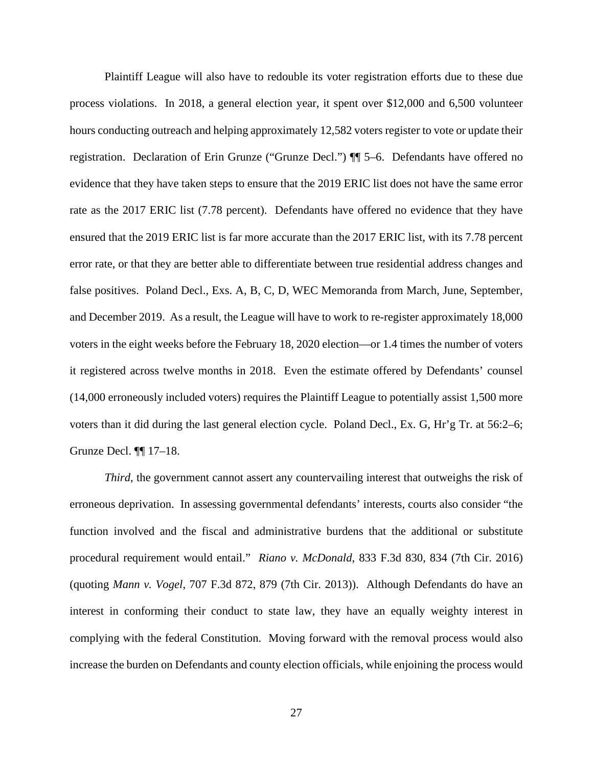Plaintiff League will also have to redouble its voter registration efforts due to these due process violations. In 2018, a general election year, it spent over \$12,000 and 6,500 volunteer hours conducting outreach and helping approximately 12,582 voters register to vote or update their registration. Declaration of Erin Grunze ("Grunze Decl.") ¶¶ 5–6. Defendants have offered no evidence that they have taken steps to ensure that the 2019 ERIC list does not have the same error rate as the 2017 ERIC list (7.78 percent). Defendants have offered no evidence that they have ensured that the 2019 ERIC list is far more accurate than the 2017 ERIC list, with its 7.78 percent error rate, or that they are better able to differentiate between true residential address changes and false positives. Poland Decl., Exs. A, B, C, D, WEC Memoranda from March, June, September, and December 2019. As a result, the League will have to work to re-register approximately 18,000 voters in the eight weeks before the February 18, 2020 election—or 1.4 times the number of voters it registered across twelve months in 2018. Even the estimate offered by Defendants' counsel (14,000 erroneously included voters) requires the Plaintiff League to potentially assist 1,500 more voters than it did during the last general election cycle. Poland Decl., Ex. G, Hr'g Tr. at 56:2–6; Grunze Decl. ¶¶ 17–18.

*Third*, the government cannot assert any countervailing interest that outweighs the risk of erroneous deprivation. In assessing governmental defendants' interests, courts also consider "the function involved and the fiscal and administrative burdens that the additional or substitute procedural requirement would entail." *Riano v. McDonald*, 833 F.3d 830, 834 (7th Cir. 2016) (quoting *Mann v. Vogel*, 707 F.3d 872, 879 (7th Cir. 2013)). Although Defendants do have an interest in conforming their conduct to state law, they have an equally weighty interest in complying with the federal Constitution. Moving forward with the removal process would also increase the burden on Defendants and county election officials, while enjoining the process would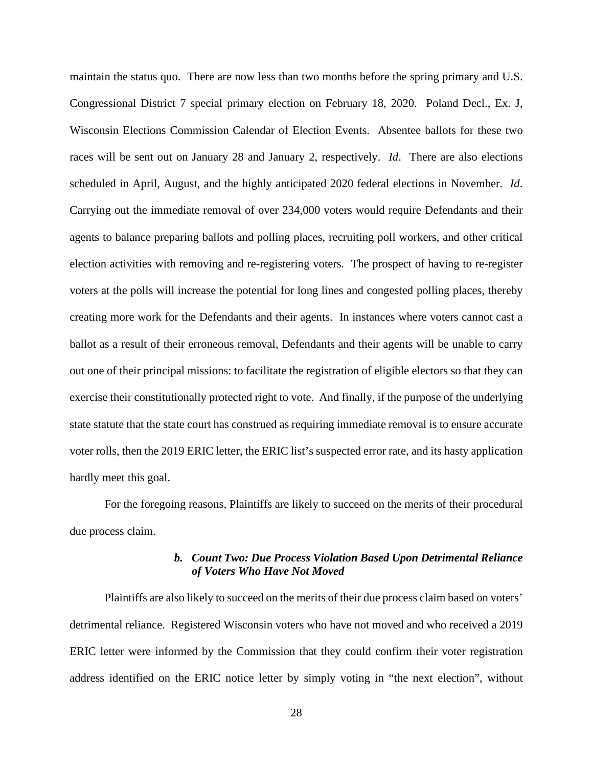maintain the status quo. There are now less than two months before the spring primary and U.S. Congressional District 7 special primary election on February 18, 2020. Poland Decl., Ex. J, Wisconsin Elections Commission Calendar of Election Events. Absentee ballots for these two races will be sent out on January 28 and January 2, respectively. *Id*. There are also elections scheduled in April, August, and the highly anticipated 2020 federal elections in November. *Id*. Carrying out the immediate removal of over 234,000 voters would require Defendants and their agents to balance preparing ballots and polling places, recruiting poll workers, and other critical election activities with removing and re-registering voters. The prospect of having to re-register voters at the polls will increase the potential for long lines and congested polling places, thereby creating more work for the Defendants and their agents. In instances where voters cannot cast a ballot as a result of their erroneous removal, Defendants and their agents will be unable to carry out one of their principal missions: to facilitate the registration of eligible electors so that they can exercise their constitutionally protected right to vote. And finally, if the purpose of the underlying state statute that the state court has construed as requiring immediate removal is to ensure accurate voter rolls, then the 2019 ERIC letter, the ERIC list's suspected error rate, and its hasty application hardly meet this goal.

For the foregoing reasons, Plaintiffs are likely to succeed on the merits of their procedural due process claim.

## *b. Count Two: Due Process Violation Based Upon Detrimental Reliance of Voters Who Have Not Moved*

Plaintiffs are also likely to succeed on the merits of their due process claim based on voters' detrimental reliance. Registered Wisconsin voters who have not moved and who received a 2019 ERIC letter were informed by the Commission that they could confirm their voter registration address identified on the ERIC notice letter by simply voting in "the next election", without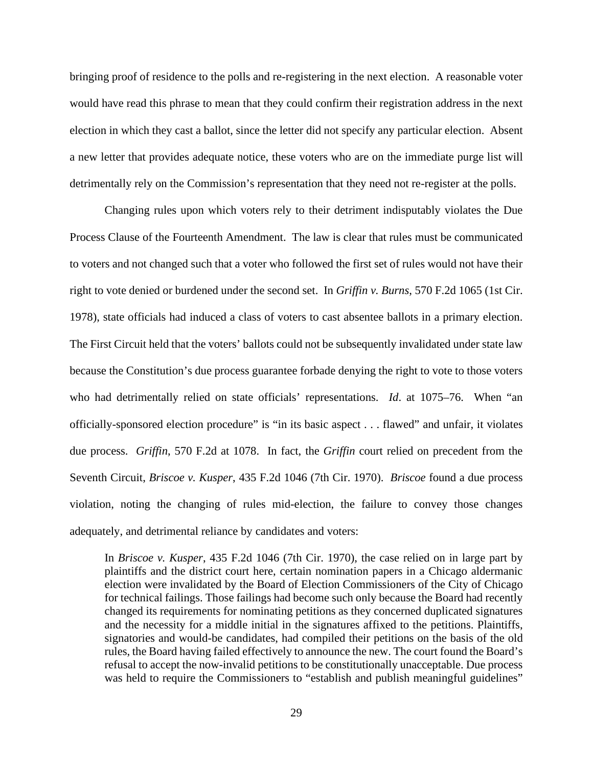bringing proof of residence to the polls and re-registering in the next election. A reasonable voter would have read this phrase to mean that they could confirm their registration address in the next election in which they cast a ballot, since the letter did not specify any particular election. Absent a new letter that provides adequate notice, these voters who are on the immediate purge list will detrimentally rely on the Commission's representation that they need not re-register at the polls.

Changing rules upon which voters rely to their detriment indisputably violates the Due Process Clause of the Fourteenth Amendment. The law is clear that rules must be communicated to voters and not changed such that a voter who followed the first set of rules would not have their right to vote denied or burdened under the second set. In *Griffin v. Burns*, 570 F.2d 1065 (1st Cir. 1978), state officials had induced a class of voters to cast absentee ballots in a primary election. The First Circuit held that the voters' ballots could not be subsequently invalidated under state law because the Constitution's due process guarantee forbade denying the right to vote to those voters who had detrimentally relied on state officials' representations. *Id*. at 1075–76. When "an officially-sponsored election procedure" is "in its basic aspect . . . flawed" and unfair, it violates due process. *Griffin*, 570 F.2d at 1078. In fact, the *Griffin* court relied on precedent from the Seventh Circuit, *Briscoe v. Kusper*, 435 F.2d 1046 (7th Cir. 1970). *Briscoe* found a due process violation, noting the changing of rules mid-election, the failure to convey those changes adequately, and detrimental reliance by candidates and voters:

In *Briscoe v. Kusper*, 435 F.2d 1046 (7th Cir. 1970), the case relied on in large part by plaintiffs and the district court here, certain nomination papers in a Chicago aldermanic election were invalidated by the Board of Election Commissioners of the City of Chicago for technical failings. Those failings had become such only because the Board had recently changed its requirements for nominating petitions as they concerned duplicated signatures and the necessity for a middle initial in the signatures affixed to the petitions. Plaintiffs, signatories and would-be candidates, had compiled their petitions on the basis of the old rules, the Board having failed effectively to announce the new. The court found the Board's refusal to accept the now-invalid petitions to be constitutionally unacceptable. Due process was held to require the Commissioners to "establish and publish meaningful guidelines"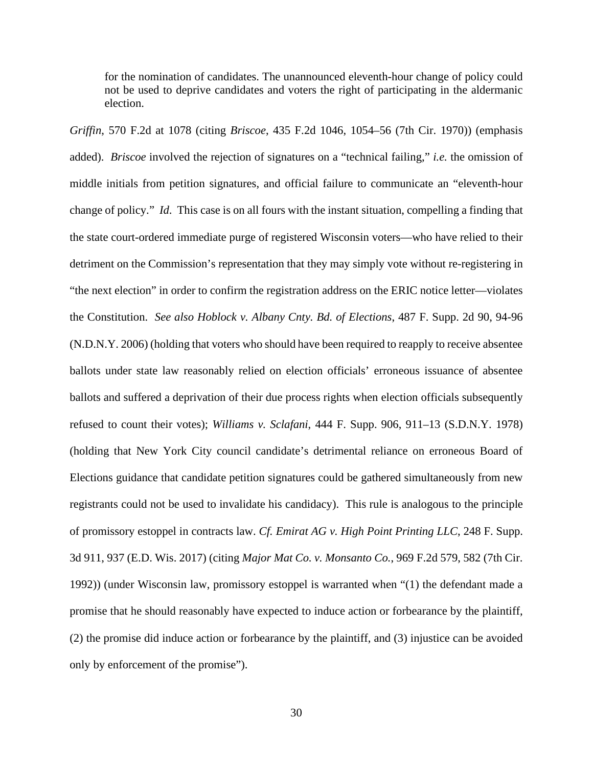for the nomination of candidates. The unannounced eleventh-hour change of policy could not be used to deprive candidates and voters the right of participating in the aldermanic election.

*Griffin*, 570 F.2d at 1078 (citing *Briscoe*, 435 F.2d 1046, 1054–56 (7th Cir. 1970)) (emphasis added). *Briscoe* involved the rejection of signatures on a "technical failing," *i.e.* the omission of middle initials from petition signatures, and official failure to communicate an "eleventh-hour change of policy." *Id*. This case is on all fours with the instant situation, compelling a finding that the state court-ordered immediate purge of registered Wisconsin voters—who have relied to their detriment on the Commission's representation that they may simply vote without re-registering in "the next election" in order to confirm the registration address on the ERIC notice letter—violates the Constitution. *See also Hoblock v. Albany Cnty. Bd. of Elections*, 487 F. Supp. 2d 90, 94-96 (N.D.N.Y. 2006) (holding that voters who should have been required to reapply to receive absentee ballots under state law reasonably relied on election officials' erroneous issuance of absentee ballots and suffered a deprivation of their due process rights when election officials subsequently refused to count their votes); *Williams v. Sclafani*, 444 F. Supp. 906, 911–13 (S.D.N.Y. 1978) (holding that New York City council candidate's detrimental reliance on erroneous Board of Elections guidance that candidate petition signatures could be gathered simultaneously from new registrants could not be used to invalidate his candidacy). This rule is analogous to the principle of promissory estoppel in contracts law. *Cf. Emirat AG v. High Point Printing LLC*, 248 F. Supp. 3d 911, 937 (E.D. Wis. 2017) (citing *Major Mat Co. v. Monsanto Co.*, 969 F.2d 579, 582 (7th Cir. 1992)) (under Wisconsin law, promissory estoppel is warranted when "(1) the defendant made a promise that he should reasonably have expected to induce action or forbearance by the plaintiff, (2) the promise did induce action or forbearance by the plaintiff, and (3) injustice can be avoided only by enforcement of the promise").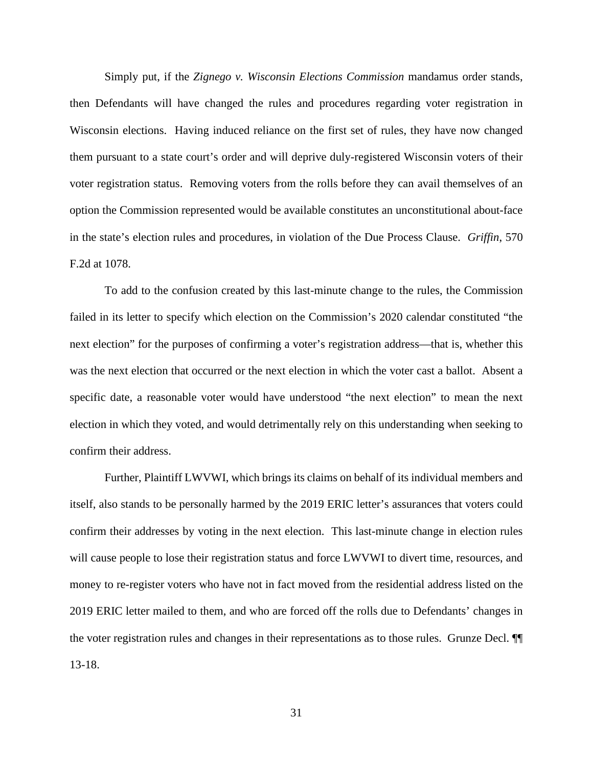Simply put, if the *Zignego v. Wisconsin Elections Commission* mandamus order stands, then Defendants will have changed the rules and procedures regarding voter registration in Wisconsin elections. Having induced reliance on the first set of rules, they have now changed them pursuant to a state court's order and will deprive duly-registered Wisconsin voters of their voter registration status. Removing voters from the rolls before they can avail themselves of an option the Commission represented would be available constitutes an unconstitutional about-face in the state's election rules and procedures, in violation of the Due Process Clause. *Griffin*, 570 F.2d at 1078.

To add to the confusion created by this last-minute change to the rules, the Commission failed in its letter to specify which election on the Commission's 2020 calendar constituted "the next election" for the purposes of confirming a voter's registration address—that is, whether this was the next election that occurred or the next election in which the voter cast a ballot. Absent a specific date, a reasonable voter would have understood "the next election" to mean the next election in which they voted, and would detrimentally rely on this understanding when seeking to confirm their address.

Further, Plaintiff LWVWI, which brings its claims on behalf of its individual members and itself, also stands to be personally harmed by the 2019 ERIC letter's assurances that voters could confirm their addresses by voting in the next election. This last-minute change in election rules will cause people to lose their registration status and force LWVWI to divert time, resources, and money to re-register voters who have not in fact moved from the residential address listed on the 2019 ERIC letter mailed to them, and who are forced off the rolls due to Defendants' changes in the voter registration rules and changes in their representations as to those rules. Grunze Decl. ¶¶ 13-18.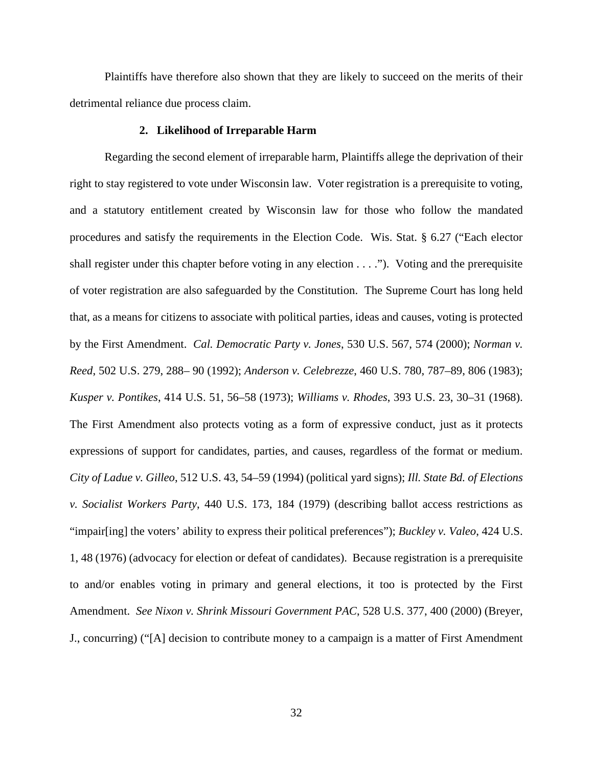Plaintiffs have therefore also shown that they are likely to succeed on the merits of their detrimental reliance due process claim.

### **2. Likelihood of Irreparable Harm**

Regarding the second element of irreparable harm, Plaintiffs allege the deprivation of their right to stay registered to vote under Wisconsin law. Voter registration is a prerequisite to voting, and a statutory entitlement created by Wisconsin law for those who follow the mandated procedures and satisfy the requirements in the Election Code. Wis. Stat. § 6.27 ("Each elector shall register under this chapter before voting in any election  $\dots$ ."). Voting and the prerequisite of voter registration are also safeguarded by the Constitution. The Supreme Court has long held that, as a means for citizens to associate with political parties, ideas and causes, voting is protected by the First Amendment. *Cal. Democratic Party v. Jones*, 530 U.S. 567, 574 (2000); *Norman v. Reed*, 502 U.S. 279, 288– 90 (1992); *Anderson v. Celebrezze*, 460 U.S. 780, 787–89, 806 (1983); *Kusper v. Pontikes*, 414 U.S. 51, 56–58 (1973); *Williams v. Rhodes*, 393 U.S. 23, 30–31 (1968). The First Amendment also protects voting as a form of expressive conduct, just as it protects expressions of support for candidates, parties, and causes, regardless of the format or medium. *City of Ladue v. Gilleo*, 512 U.S. 43, 54–59 (1994) (political yard signs); *Ill. State Bd. of Elections v. Socialist Workers Party*, 440 U.S. 173, 184 (1979) (describing ballot access restrictions as "impair[ing] the voters' ability to express their political preferences"); *Buckley v. Valeo*, 424 U.S. 1, 48 (1976) (advocacy for election or defeat of candidates). Because registration is a prerequisite to and/or enables voting in primary and general elections, it too is protected by the First Amendment. *See Nixon v. Shrink Missouri Government PAC*, 528 U.S. 377, 400 (2000) (Breyer, J., concurring) ("[A] decision to contribute money to a campaign is a matter of First Amendment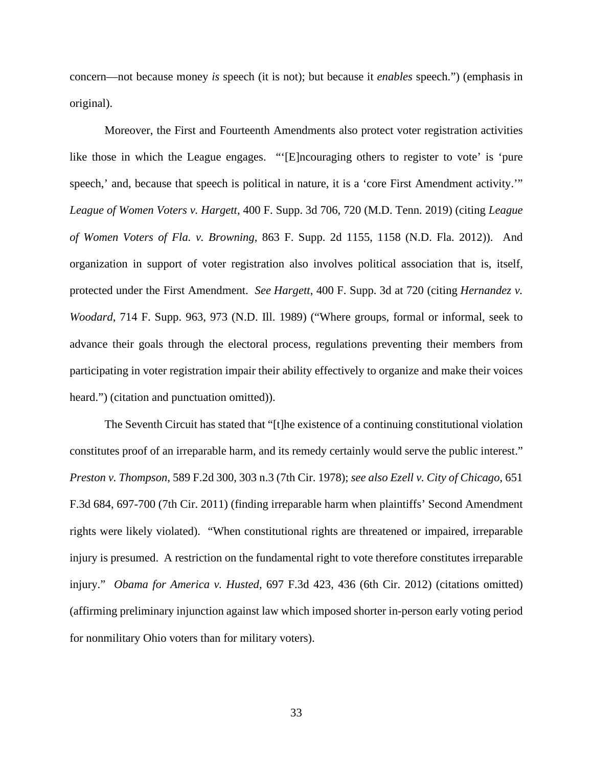concern—not because money *is* speech (it is not); but because it *enables* speech.") (emphasis in original).

Moreover, the First and Fourteenth Amendments also protect voter registration activities like those in which the League engages. "'[E]ncouraging others to register to vote' is 'pure speech,' and, because that speech is political in nature, it is a 'core First Amendment activity.'" *League of Women Voters v. Hargett*, 400 F. Supp. 3d 706, 720 (M.D. Tenn. 2019) (citing *League of Women Voters of Fla. v. Browning*, 863 F. Supp. 2d 1155, 1158 (N.D. Fla. 2012)). And organization in support of voter registration also involves political association that is, itself, protected under the First Amendment. *See Hargett*, 400 F. Supp. 3d at 720 (citing *Hernandez v. Woodard*, 714 F. Supp. 963, 973 (N.D. Ill. 1989) ("Where groups, formal or informal, seek to advance their goals through the electoral process, regulations preventing their members from participating in voter registration impair their ability effectively to organize and make their voices heard.") (citation and punctuation omitted)).

The Seventh Circuit has stated that "[t]he existence of a continuing constitutional violation constitutes proof of an irreparable harm, and its remedy certainly would serve the public interest." *Preston v. Thompson*, 589 F.2d 300, 303 n.3 (7th Cir. 1978); *see also Ezell v. City of Chicago*, 651 F.3d 684, 697-700 (7th Cir. 2011) (finding irreparable harm when plaintiffs' Second Amendment rights were likely violated). "When constitutional rights are threatened or impaired, irreparable injury is presumed. A restriction on the fundamental right to vote therefore constitutes irreparable injury." *Obama for America v. Husted*, 697 F.3d 423, 436 (6th Cir. 2012) (citations omitted) (affirming preliminary injunction against law which imposed shorter in-person early voting period for nonmilitary Ohio voters than for military voters).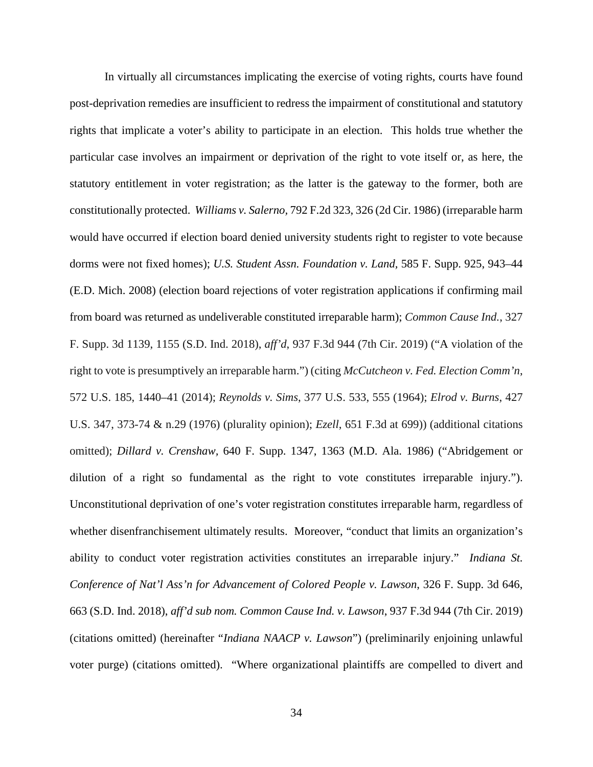In virtually all circumstances implicating the exercise of voting rights, courts have found post-deprivation remedies are insufficient to redress the impairment of constitutional and statutory rights that implicate a voter's ability to participate in an election. This holds true whether the particular case involves an impairment or deprivation of the right to vote itself or, as here, the statutory entitlement in voter registration; as the latter is the gateway to the former, both are constitutionally protected. *Williams v. Salerno,* 792 F.2d 323, 326 (2d Cir. 1986) (irreparable harm would have occurred if election board denied university students right to register to vote because dorms were not fixed homes); *U.S. Student Assn. Foundation v. Land,* 585 F. Supp. 925, 943–44 (E.D. Mich. 2008) (election board rejections of voter registration applications if confirming mail from board was returned as undeliverable constituted irreparable harm); *Common Cause Ind.*, 327 F. Supp. 3d 1139, 1155 (S.D. Ind. 2018), *aff'd*, 937 F.3d 944 (7th Cir. 2019) ("A violation of the right to vote is presumptively an irreparable harm.") (citing *McCutcheon v. Fed. Election Comm'n*, 572 U.S. 185, 1440–41 (2014); *Reynolds v. Sims*, 377 U.S. 533, 555 (1964); *Elrod v. Burns*, 427 U.S. 347, 373-74 & n.29 (1976) (plurality opinion); *Ezell*, 651 F.3d at 699)) (additional citations omitted); *Dillard v. Crenshaw,* 640 F. Supp. 1347, 1363 (M.D. Ala. 1986) ("Abridgement or dilution of a right so fundamental as the right to vote constitutes irreparable injury."). Unconstitutional deprivation of one's voter registration constitutes irreparable harm, regardless of whether disenfranchisement ultimately results. Moreover, "conduct that limits an organization's ability to conduct voter registration activities constitutes an irreparable injury." *Indiana St. Conference of Nat'l Ass'n for Advancement of Colored People v. Lawson*, 326 F. Supp. 3d 646, 663 (S.D. Ind. 2018), *aff'd sub nom. Common Cause Ind. v. Lawson*, 937 F.3d 944 (7th Cir. 2019) (citations omitted) (hereinafter "*Indiana NAACP v. Lawson*") (preliminarily enjoining unlawful voter purge) (citations omitted). "Where organizational plaintiffs are compelled to divert and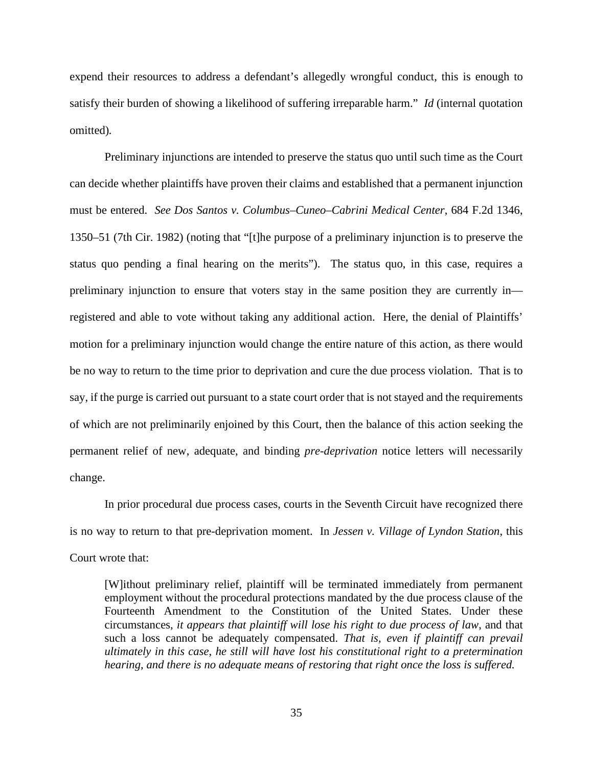expend their resources to address a defendant's allegedly wrongful conduct, this is enough to satisfy their burden of showing a likelihood of suffering irreparable harm." *Id* (internal quotation omitted)*.*

Preliminary injunctions are intended to preserve the status quo until such time as the Court can decide whether plaintiffs have proven their claims and established that a permanent injunction must be entered. *See Dos Santos v. Columbus–Cuneo–Cabrini Medical Center*, 684 F.2d 1346, 1350–51 (7th Cir. 1982) (noting that "[t]he purpose of a preliminary injunction is to preserve the status quo pending a final hearing on the merits"). The status quo, in this case, requires a preliminary injunction to ensure that voters stay in the same position they are currently in registered and able to vote without taking any additional action. Here, the denial of Plaintiffs' motion for a preliminary injunction would change the entire nature of this action, as there would be no way to return to the time prior to deprivation and cure the due process violation. That is to say, if the purge is carried out pursuant to a state court order that is not stayed and the requirements of which are not preliminarily enjoined by this Court, then the balance of this action seeking the permanent relief of new, adequate, and binding *pre-deprivation* notice letters will necessarily change.

In prior procedural due process cases, courts in the Seventh Circuit have recognized there is no way to return to that pre-deprivation moment. In *Jessen v. Village of Lyndon Station*, this Court wrote that:

[W]ithout preliminary relief, plaintiff will be terminated immediately from permanent employment without the procedural protections mandated by the due process clause of the Fourteenth Amendment to the Constitution of the United States. Under these circumstances, *it appears that plaintiff will lose his right to due process of law*, and that such a loss cannot be adequately compensated. *That is, even if plaintiff can prevail ultimately in this case, he still will have lost his constitutional right to a pretermination hearing, and there is no adequate means of restoring that right once the loss is suffered.*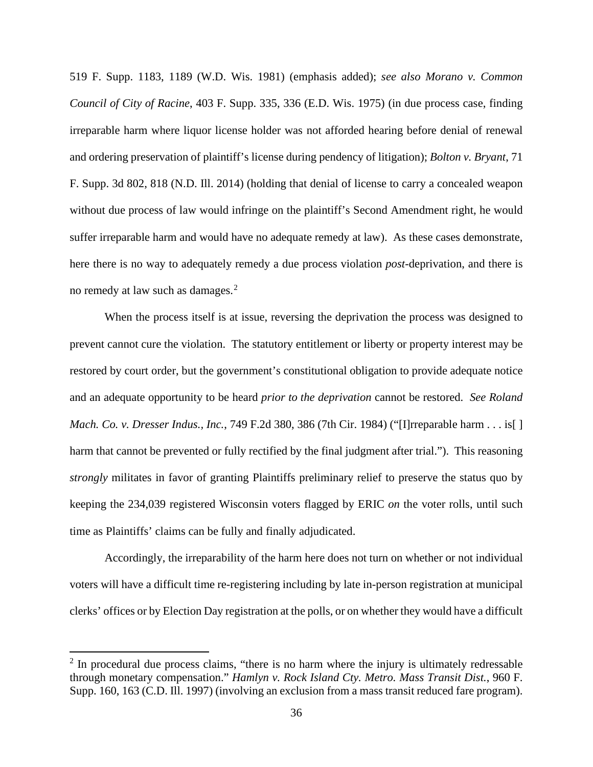519 F. Supp. 1183, 1189 (W.D. Wis. 1981) (emphasis added); *see also Morano v. Common Council of City of Racine*, 403 F. Supp. 335, 336 (E.D. Wis. 1975) (in due process case, finding irreparable harm where liquor license holder was not afforded hearing before denial of renewal and ordering preservation of plaintiff's license during pendency of litigation); *Bolton v. Bryant*, 71 F. Supp. 3d 802, 818 (N.D. Ill. 2014) (holding that denial of license to carry a concealed weapon without due process of law would infringe on the plaintiff's Second Amendment right, he would suffer irreparable harm and would have no adequate remedy at law). As these cases demonstrate, here there is no way to adequately remedy a due process violation *post*-deprivation, and there is no remedy at law such as damages.<sup>[2](#page-35-0)</sup>

When the process itself is at issue, reversing the deprivation the process was designed to prevent cannot cure the violation. The statutory entitlement or liberty or property interest may be restored by court order, but the government's constitutional obligation to provide adequate notice and an adequate opportunity to be heard *prior to the deprivation* cannot be restored. *See Roland Mach. Co. v. Dresser Indus., Inc.*, 749 F.2d 380, 386 (7th Cir. 1984) ("[I]rreparable harm . . . is[ ] harm that cannot be prevented or fully rectified by the final judgment after trial."). This reasoning *strongly* militates in favor of granting Plaintiffs preliminary relief to preserve the status quo by keeping the 234,039 registered Wisconsin voters flagged by ERIC *on* the voter rolls, until such time as Plaintiffs' claims can be fully and finally adjudicated.

Accordingly, the irreparability of the harm here does not turn on whether or not individual voters will have a difficult time re-registering including by late in-person registration at municipal clerks' offices or by Election Day registration at the polls, or on whether they would have a difficult

<span id="page-35-0"></span> $2 \text{ In procedural due process claims, "there is no harm where the injury is ultimately redressable" }$ through monetary compensation." *Hamlyn v. Rock Island Cty. Metro. Mass Transit Dist.*, 960 F. Supp. 160, 163 (C.D. Ill. 1997) (involving an exclusion from a mass transit reduced fare program).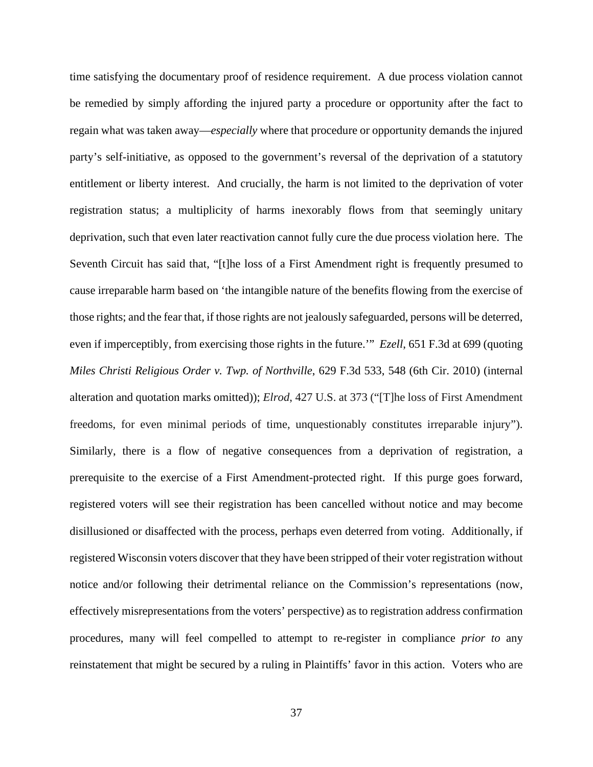time satisfying the documentary proof of residence requirement. A due process violation cannot be remedied by simply affording the injured party a procedure or opportunity after the fact to regain what was taken away—*especially* where that procedure or opportunity demands the injured party's self-initiative, as opposed to the government's reversal of the deprivation of a statutory entitlement or liberty interest. And crucially, the harm is not limited to the deprivation of voter registration status; a multiplicity of harms inexorably flows from that seemingly unitary deprivation, such that even later reactivation cannot fully cure the due process violation here. The Seventh Circuit has said that, "[t]he loss of a First Amendment right is frequently presumed to cause irreparable harm based on 'the intangible nature of the benefits flowing from the exercise of those rights; and the fear that, if those rights are not jealously safeguarded, persons will be deterred, even if imperceptibly, from exercising those rights in the future.'" *Ezell*, 651 F.3d at 699 (quoting *Miles Christi Religious Order v. Twp. of Northville*, 629 F.3d 533, 548 (6th Cir. 2010) (internal alteration and quotation marks omitted)); *Elrod*, 427 U.S. at 373 ("[T]he loss of First Amendment freedoms, for even minimal periods of time, unquestionably constitutes irreparable injury"). Similarly, there is a flow of negative consequences from a deprivation of registration, a prerequisite to the exercise of a First Amendment-protected right. If this purge goes forward, registered voters will see their registration has been cancelled without notice and may become disillusioned or disaffected with the process, perhaps even deterred from voting. Additionally, if registered Wisconsin voters discover that they have been stripped of their voter registration without notice and/or following their detrimental reliance on the Commission's representations (now, effectively misrepresentations from the voters' perspective) as to registration address confirmation procedures, many will feel compelled to attempt to re-register in compliance *prior to* any reinstatement that might be secured by a ruling in Plaintiffs' favor in this action. Voters who are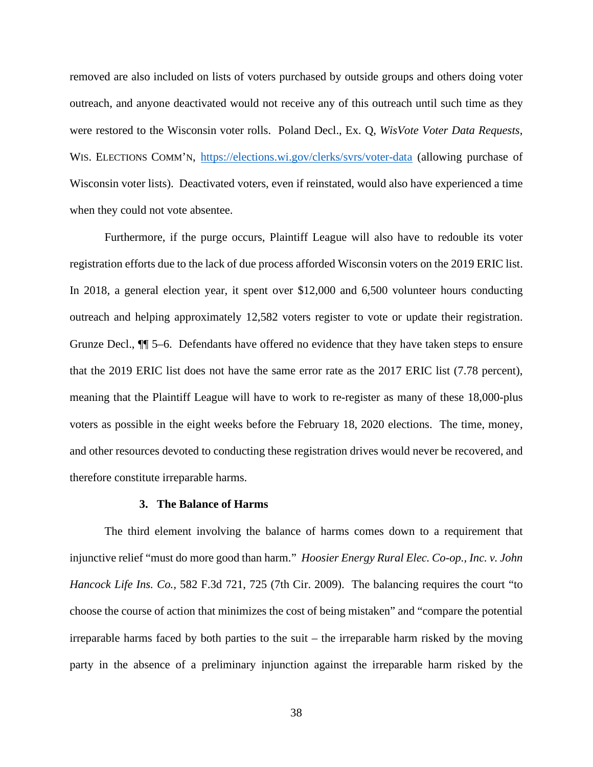removed are also included on lists of voters purchased by outside groups and others doing voter outreach, and anyone deactivated would not receive any of this outreach until such time as they were restored to the Wisconsin voter rolls. Poland Decl., Ex. Q, *WisVote Voter Data Requests*, WIS. ELECTIONS COMM'N, <https://elections.wi.gov/clerks/svrs/voter-data> (allowing purchase of Wisconsin voter lists). Deactivated voters, even if reinstated, would also have experienced a time when they could not vote absentee.

Furthermore, if the purge occurs, Plaintiff League will also have to redouble its voter registration efforts due to the lack of due process afforded Wisconsin voters on the 2019 ERIC list. In 2018, a general election year, it spent over \$12,000 and 6,500 volunteer hours conducting outreach and helping approximately 12,582 voters register to vote or update their registration. Grunze Decl., ¶¶ 5–6. Defendants have offered no evidence that they have taken steps to ensure that the 2019 ERIC list does not have the same error rate as the 2017 ERIC list (7.78 percent), meaning that the Plaintiff League will have to work to re-register as many of these 18,000-plus voters as possible in the eight weeks before the February 18, 2020 elections. The time, money, and other resources devoted to conducting these registration drives would never be recovered, and therefore constitute irreparable harms.

#### **3. The Balance of Harms**

The third element involving the balance of harms comes down to a requirement that injunctive relief "must do more good than harm." *Hoosier Energy Rural Elec. Co-op., Inc. v. John Hancock Life Ins. Co.,* 582 F.3d 721, 725 (7th Cir. 2009). The balancing requires the court "to choose the course of action that minimizes the cost of being mistaken" and "compare the potential irreparable harms faced by both parties to the suit – the irreparable harm risked by the moving party in the absence of a preliminary injunction against the irreparable harm risked by the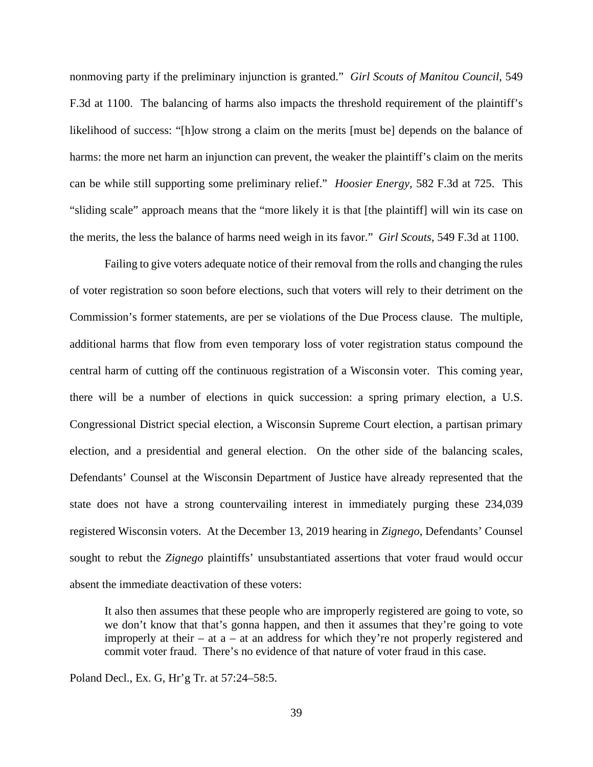nonmoving party if the preliminary injunction is granted." *Girl Scouts of Manitou Council*, 549 F.3d at 1100. The balancing of harms also impacts the threshold requirement of the plaintiff's likelihood of success: "[h]ow strong a claim on the merits [must be] depends on the balance of harms: the more net harm an injunction can prevent, the weaker the plaintiff's claim on the merits can be while still supporting some preliminary relief." *Hoosier Energy*, 582 F.3d at 725. This "sliding scale" approach means that the "more likely it is that [the plaintiff] will win its case on the merits, the less the balance of harms need weigh in its favor." *Girl Scouts*, 549 F.3d at 1100.

Failing to give voters adequate notice of their removal from the rolls and changing the rules of voter registration so soon before elections, such that voters will rely to their detriment on the Commission's former statements, are per se violations of the Due Process clause. The multiple, additional harms that flow from even temporary loss of voter registration status compound the central harm of cutting off the continuous registration of a Wisconsin voter. This coming year, there will be a number of elections in quick succession: a spring primary election, a U.S. Congressional District special election, a Wisconsin Supreme Court election, a partisan primary election, and a presidential and general election. On the other side of the balancing scales, Defendants' Counsel at the Wisconsin Department of Justice have already represented that the state does not have a strong countervailing interest in immediately purging these 234,039 registered Wisconsin voters. At the December 13, 2019 hearing in *Zignego*, Defendants' Counsel sought to rebut the *Zignego* plaintiffs' unsubstantiated assertions that voter fraud would occur absent the immediate deactivation of these voters:

It also then assumes that these people who are improperly registered are going to vote, so we don't know that that's gonna happen, and then it assumes that they're going to vote improperly at their – at  $a - at$  an address for which they're not properly registered and commit voter fraud. There's no evidence of that nature of voter fraud in this case.

Poland Decl., Ex. G, Hr'g Tr. at 57:24–58:5.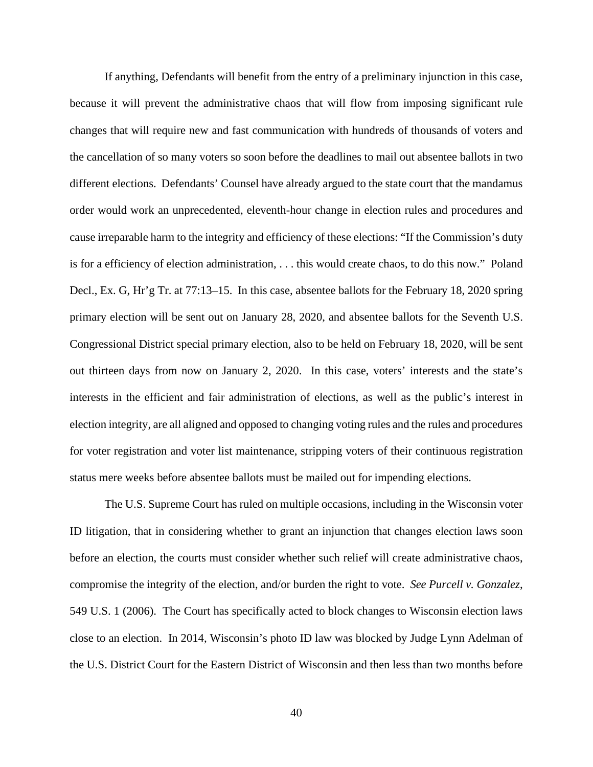If anything, Defendants will benefit from the entry of a preliminary injunction in this case, because it will prevent the administrative chaos that will flow from imposing significant rule changes that will require new and fast communication with hundreds of thousands of voters and the cancellation of so many voters so soon before the deadlines to mail out absentee ballots in two different elections. Defendants' Counsel have already argued to the state court that the mandamus order would work an unprecedented, eleventh-hour change in election rules and procedures and cause irreparable harm to the integrity and efficiency of these elections: "If the Commission's duty is for a efficiency of election administration, . . . this would create chaos, to do this now." Poland Decl., Ex. G, Hr'g Tr. at 77:13–15. In this case, absentee ballots for the February 18, 2020 spring primary election will be sent out on January 28, 2020, and absentee ballots for the Seventh U.S. Congressional District special primary election, also to be held on February 18, 2020, will be sent out thirteen days from now on January 2, 2020. In this case, voters' interests and the state's interests in the efficient and fair administration of elections, as well as the public's interest in election integrity, are all aligned and opposed to changing voting rules and the rules and procedures for voter registration and voter list maintenance, stripping voters of their continuous registration status mere weeks before absentee ballots must be mailed out for impending elections.

The U.S. Supreme Court has ruled on multiple occasions, including in the Wisconsin voter ID litigation, that in considering whether to grant an injunction that changes election laws soon before an election, the courts must consider whether such relief will create administrative chaos, compromise the integrity of the election, and/or burden the right to vote. *See Purcell v. Gonzalez*, 549 U.S. 1 (2006). The Court has specifically acted to block changes to Wisconsin election laws close to an election. In 2014, Wisconsin's photo ID law was blocked by Judge Lynn Adelman of the U.S. District Court for the Eastern District of Wisconsin and then less than two months before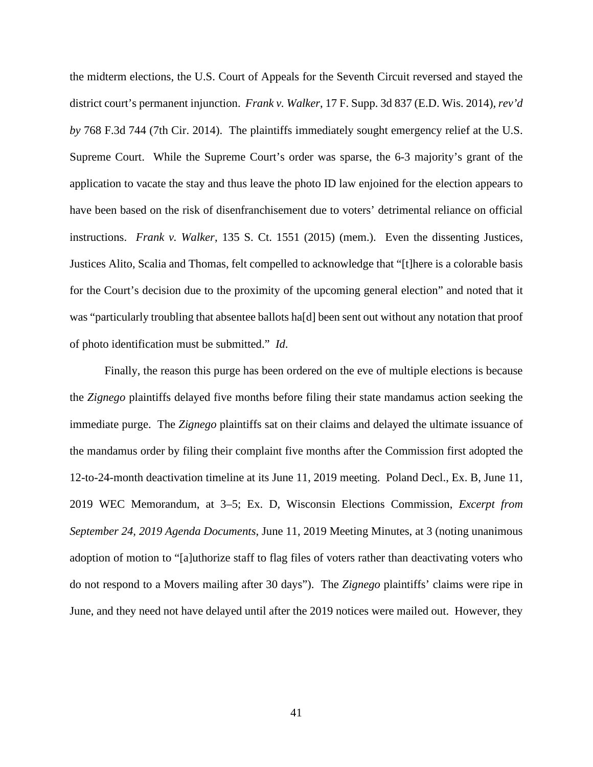the midterm elections, the U.S. Court of Appeals for the Seventh Circuit reversed and stayed the district court's permanent injunction. *Frank v. Walker*, 17 F. Supp. 3d 837 (E.D. Wis. 2014), *rev'd by* 768 F.3d 744 (7th Cir. 2014). The plaintiffs immediately sought emergency relief at the U.S. Supreme Court. While the Supreme Court's order was sparse, the 6-3 majority's grant of the application to vacate the stay and thus leave the photo ID law enjoined for the election appears to have been based on the risk of disenfranchisement due to voters' detrimental reliance on official instructions. *Frank v. Walker*, 135 S. Ct. 1551 (2015) (mem.). Even the dissenting Justices, Justices Alito, Scalia and Thomas, felt compelled to acknowledge that "[t]here is a colorable basis for the Court's decision due to the proximity of the upcoming general election" and noted that it was "particularly troubling that absentee ballots ha[d] been sent out without any notation that proof of photo identification must be submitted." *Id*.

Finally, the reason this purge has been ordered on the eve of multiple elections is because the *Zignego* plaintiffs delayed five months before filing their state mandamus action seeking the immediate purge. The *Zignego* plaintiffs sat on their claims and delayed the ultimate issuance of the mandamus order by filing their complaint five months after the Commission first adopted the 12-to-24-month deactivation timeline at its June 11, 2019 meeting. Poland Decl., Ex. B, June 11, 2019 WEC Memorandum, at 3–5; Ex. D, Wisconsin Elections Commission, *Excerpt from September 24, 2019 Agenda Documents*, June 11, 2019 Meeting Minutes, at 3 (noting unanimous adoption of motion to "[a]uthorize staff to flag files of voters rather than deactivating voters who do not respond to a Movers mailing after 30 days"). The *Zignego* plaintiffs' claims were ripe in June, and they need not have delayed until after the 2019 notices were mailed out. However, they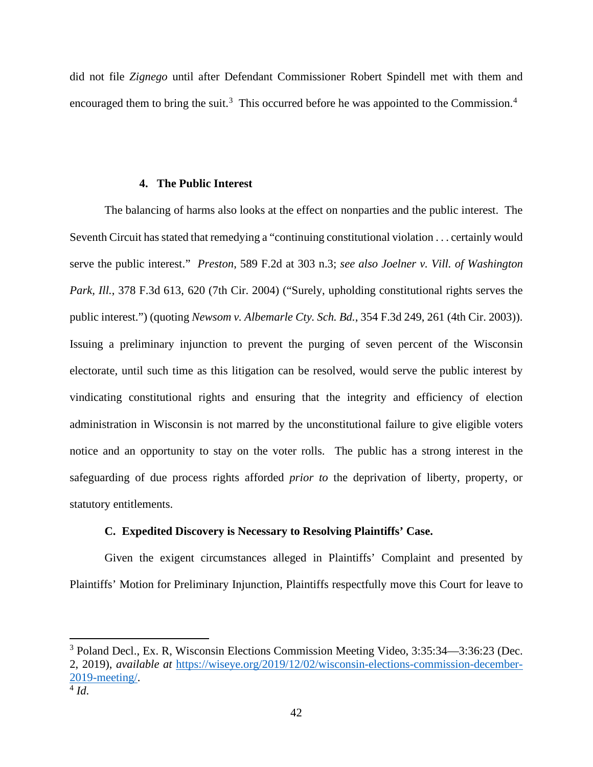did not file *Zignego* until after Defendant Commissioner Robert Spindell met with them and encouraged them to bring the suit.<sup>[3](#page-41-0)</sup> This occurred before he was appointed to the Commission.<sup>[4](#page-41-1)</sup>

## **4. The Public Interest**

The balancing of harms also looks at the effect on nonparties and the public interest. The Seventh Circuit has stated that remedying a "continuing constitutional violation . . . certainly would serve the public interest." *Preston*, 589 F.2d at 303 n.3; *see also Joelner v. Vill. of Washington Park, Ill.*, 378 F.3d 613, 620 (7th Cir. 2004) ("Surely, upholding constitutional rights serves the public interest.") (quoting *Newsom v. Albemarle Cty. Sch. Bd.*, 354 F.3d 249, 261 (4th Cir. 2003)). Issuing a preliminary injunction to prevent the purging of seven percent of the Wisconsin electorate, until such time as this litigation can be resolved, would serve the public interest by vindicating constitutional rights and ensuring that the integrity and efficiency of election administration in Wisconsin is not marred by the unconstitutional failure to give eligible voters notice and an opportunity to stay on the voter rolls. The public has a strong interest in the safeguarding of due process rights afforded *prior to* the deprivation of liberty, property, or statutory entitlements.

## **C. Expedited Discovery is Necessary to Resolving Plaintiffs' Case.**

Given the exigent circumstances alleged in Plaintiffs' Complaint and presented by Plaintiffs' Motion for Preliminary Injunction, Plaintiffs respectfully move this Court for leave to

<span id="page-41-0"></span><sup>3</sup> Poland Decl., Ex. R, Wisconsin Elections Commission Meeting Video, 3:35:34—3:36:23 (Dec. 2, 2019), *available at* [https://wiseye.org/2019/12/02/wisconsin-elections-commission-december-](https://wiseye.org/2019/12/02/wisconsin-elections-commission-december-2019-meeting/)[2019-meeting/.](https://wiseye.org/2019/12/02/wisconsin-elections-commission-december-2019-meeting/)

<span id="page-41-1"></span><sup>4</sup> *Id*.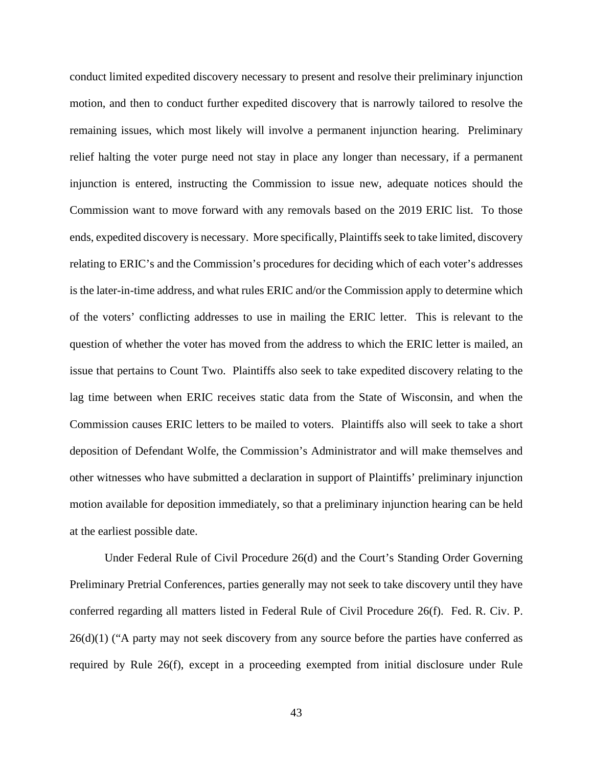conduct limited expedited discovery necessary to present and resolve their preliminary injunction motion, and then to conduct further expedited discovery that is narrowly tailored to resolve the remaining issues, which most likely will involve a permanent injunction hearing. Preliminary relief halting the voter purge need not stay in place any longer than necessary, if a permanent injunction is entered, instructing the Commission to issue new, adequate notices should the Commission want to move forward with any removals based on the 2019 ERIC list. To those ends, expedited discovery is necessary. More specifically, Plaintiffs seek to take limited, discovery relating to ERIC's and the Commission's procedures for deciding which of each voter's addresses is the later-in-time address, and what rules ERIC and/or the Commission apply to determine which of the voters' conflicting addresses to use in mailing the ERIC letter. This is relevant to the question of whether the voter has moved from the address to which the ERIC letter is mailed, an issue that pertains to Count Two. Plaintiffs also seek to take expedited discovery relating to the lag time between when ERIC receives static data from the State of Wisconsin, and when the Commission causes ERIC letters to be mailed to voters. Plaintiffs also will seek to take a short deposition of Defendant Wolfe, the Commission's Administrator and will make themselves and other witnesses who have submitted a declaration in support of Plaintiffs' preliminary injunction motion available for deposition immediately, so that a preliminary injunction hearing can be held at the earliest possible date.

Under Federal Rule of Civil Procedure 26(d) and the Court's Standing Order Governing Preliminary Pretrial Conferences, parties generally may not seek to take discovery until they have conferred regarding all matters listed in Federal Rule of Civil Procedure 26(f). Fed. R. Civ. P.  $26(d)(1)$  ("A party may not seek discovery from any source before the parties have conferred as required by Rule 26(f), except in a proceeding exempted from initial disclosure under Rule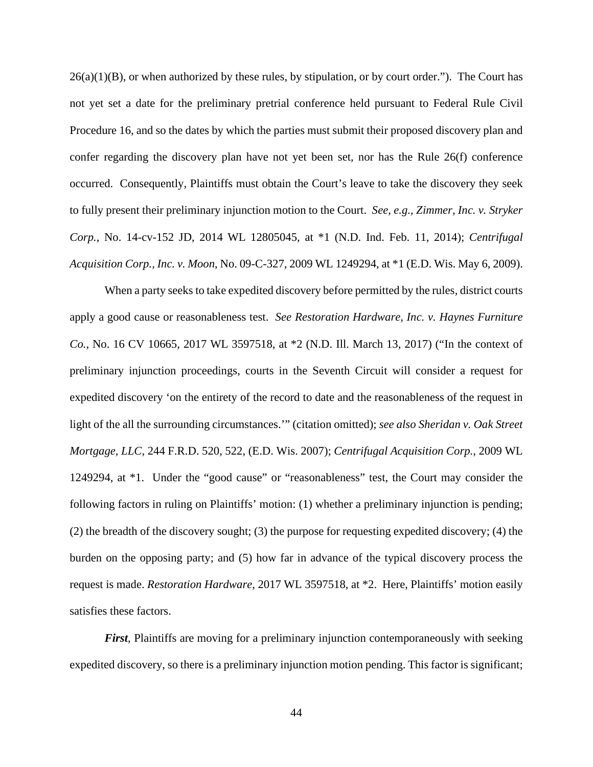$26(a)(1)(B)$ , or when authorized by these rules, by stipulation, or by court order."). The Court has not yet set a date for the preliminary pretrial conference held pursuant to Federal Rule Civil Procedure 16, and so the dates by which the parties must submit their proposed discovery plan and confer regarding the discovery plan have not yet been set, nor has the Rule 26(f) conference occurred. Consequently, Plaintiffs must obtain the Court's leave to take the discovery they seek to fully present their preliminary injunction motion to the Court. *See, e.g., Zimmer, Inc. v. Stryker Corp.*, No. 14-cv-152 JD, 2014 WL 12805045, at \*1 (N.D. Ind. Feb. 11, 2014); *Centrifugal Acquisition Corp., Inc. v. Moon*, No. 09-C-327, 2009 WL 1249294, at \*1 (E.D. Wis. May 6, 2009).

When a party seeks to take expedited discovery before permitted by the rules, district courts apply a good cause or reasonableness test. *See Restoration Hardware, Inc. v. Haynes Furniture Co.*, No. 16 CV 10665, 2017 WL 3597518, at \*2 (N.D. Ill. March 13, 2017) ("In the context of preliminary injunction proceedings, courts in the Seventh Circuit will consider a request for expedited discovery 'on the entirety of the record to date and the reasonableness of the request in light of the all the surrounding circumstances.'" (citation omitted); *see also Sheridan v. Oak Street Mortgage, LLC*, 244 F.R.D. 520, 522, (E.D. Wis. 2007); *Centrifugal Acquisition Corp.*, 2009 WL 1249294, at \*1. Under the "good cause" or "reasonableness" test, the Court may consider the following factors in ruling on Plaintiffs' motion: (1) whether a preliminary injunction is pending; (2) the breadth of the discovery sought; (3) the purpose for requesting expedited discovery; (4) the burden on the opposing party; and (5) how far in advance of the typical discovery process the request is made. *Restoration Hardware*, 2017 WL 3597518, at \*2. Here, Plaintiffs' motion easily satisfies these factors.

*First*, Plaintiffs are moving for a preliminary injunction contemporaneously with seeking expedited discovery, so there is a preliminary injunction motion pending. This factor is significant;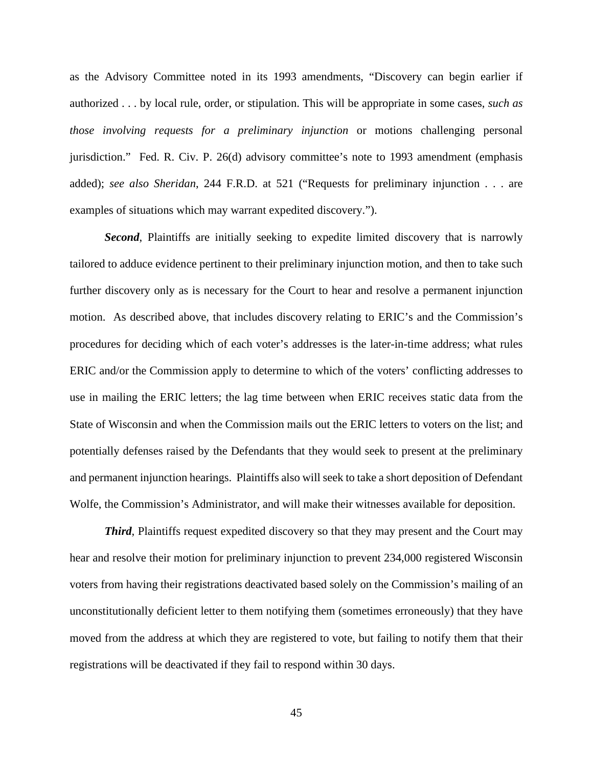as the Advisory Committee noted in its 1993 amendments, "Discovery can begin earlier if authorized . . . by local rule, order, or stipulation. This will be appropriate in some cases, *such as those involving requests for a preliminary injunction* or motions challenging personal jurisdiction." Fed. R. Civ. P. 26(d) advisory committee's note to 1993 amendment (emphasis added); *see also Sheridan*, 244 F.R.D. at 521 ("Requests for preliminary injunction . . . are examples of situations which may warrant expedited discovery.").

**Second**, Plaintiffs are initially seeking to expedite limited discovery that is narrowly tailored to adduce evidence pertinent to their preliminary injunction motion, and then to take such further discovery only as is necessary for the Court to hear and resolve a permanent injunction motion. As described above, that includes discovery relating to ERIC's and the Commission's procedures for deciding which of each voter's addresses is the later-in-time address; what rules ERIC and/or the Commission apply to determine to which of the voters' conflicting addresses to use in mailing the ERIC letters; the lag time between when ERIC receives static data from the State of Wisconsin and when the Commission mails out the ERIC letters to voters on the list; and potentially defenses raised by the Defendants that they would seek to present at the preliminary and permanent injunction hearings. Plaintiffs also will seek to take a short deposition of Defendant Wolfe, the Commission's Administrator, and will make their witnesses available for deposition.

*Third*, Plaintiffs request expedited discovery so that they may present and the Court may hear and resolve their motion for preliminary injunction to prevent 234,000 registered Wisconsin voters from having their registrations deactivated based solely on the Commission's mailing of an unconstitutionally deficient letter to them notifying them (sometimes erroneously) that they have moved from the address at which they are registered to vote, but failing to notify them that their registrations will be deactivated if they fail to respond within 30 days.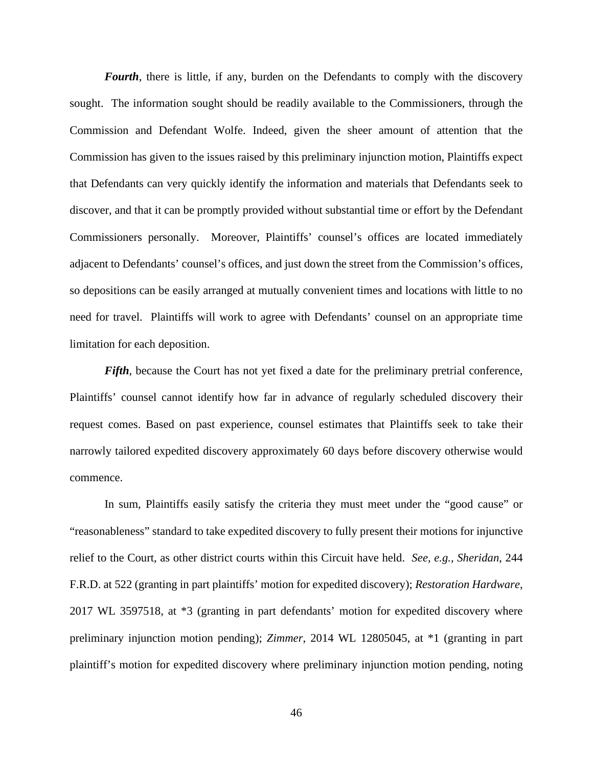*Fourth*, there is little, if any, burden on the Defendants to comply with the discovery sought. The information sought should be readily available to the Commissioners, through the Commission and Defendant Wolfe. Indeed, given the sheer amount of attention that the Commission has given to the issues raised by this preliminary injunction motion, Plaintiffs expect that Defendants can very quickly identify the information and materials that Defendants seek to discover, and that it can be promptly provided without substantial time or effort by the Defendant Commissioners personally. Moreover, Plaintiffs' counsel's offices are located immediately adjacent to Defendants' counsel's offices, and just down the street from the Commission's offices, so depositions can be easily arranged at mutually convenient times and locations with little to no need for travel. Plaintiffs will work to agree with Defendants' counsel on an appropriate time limitation for each deposition.

*Fifth*, because the Court has not yet fixed a date for the preliminary pretrial conference, Plaintiffs' counsel cannot identify how far in advance of regularly scheduled discovery their request comes. Based on past experience, counsel estimates that Plaintiffs seek to take their narrowly tailored expedited discovery approximately 60 days before discovery otherwise would commence.

In sum, Plaintiffs easily satisfy the criteria they must meet under the "good cause" or "reasonableness" standard to take expedited discovery to fully present their motions for injunctive relief to the Court, as other district courts within this Circuit have held. *See, e.g., Sheridan*, 244 F.R.D. at 522 (granting in part plaintiffs' motion for expedited discovery); *Restoration Hardware*, 2017 WL 3597518, at \*3 (granting in part defendants' motion for expedited discovery where preliminary injunction motion pending); *Zimmer*, 2014 WL 12805045, at \*1 (granting in part plaintiff's motion for expedited discovery where preliminary injunction motion pending, noting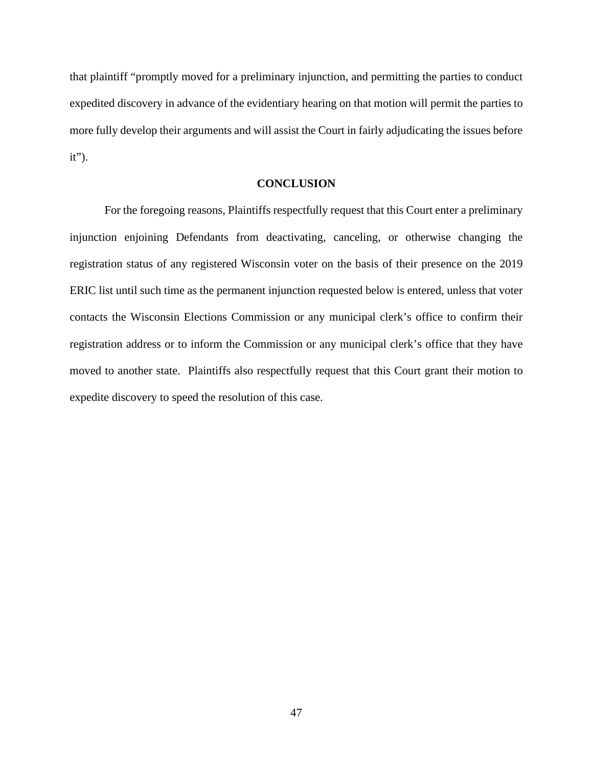that plaintiff "promptly moved for a preliminary injunction, and permitting the parties to conduct expedited discovery in advance of the evidentiary hearing on that motion will permit the parties to more fully develop their arguments and will assist the Court in fairly adjudicating the issues before it").

## **CONCLUSION**

For the foregoing reasons, Plaintiffs respectfully request that this Court enter a preliminary injunction enjoining Defendants from deactivating, canceling, or otherwise changing the registration status of any registered Wisconsin voter on the basis of their presence on the 2019 ERIC list until such time as the permanent injunction requested below is entered, unless that voter contacts the Wisconsin Elections Commission or any municipal clerk's office to confirm their registration address or to inform the Commission or any municipal clerk's office that they have moved to another state. Plaintiffs also respectfully request that this Court grant their motion to expedite discovery to speed the resolution of this case.